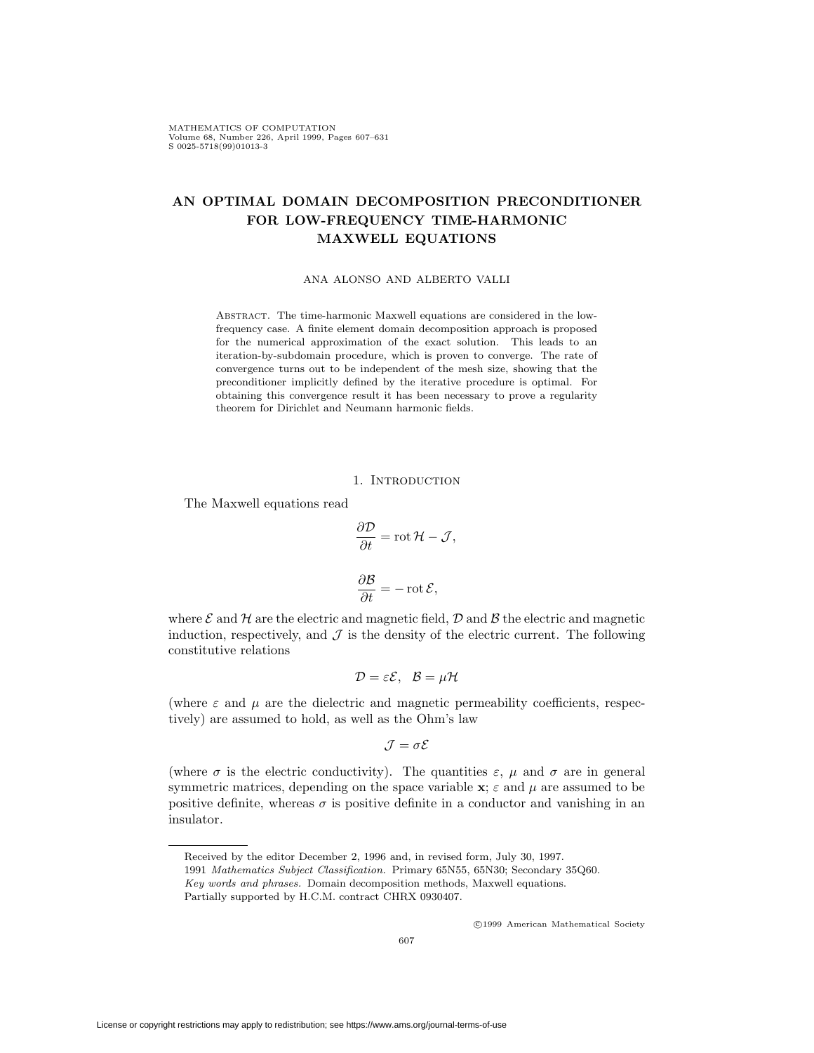MATHEMATICS OF COMPUTATION Volume 68, Number 226, April 1999, Pages 607-631  $S$  0025-5718(99)01013-3

# **AN OPTIMAL DOMAIN DECOMPOSITION PRECONDITIONER FOR LOW-FREQUENCY TIME-HARMONIC MAXWELL EQUATIONS**

#### ANA ALONSO AND ALBERTO VALLI

Abstract. The time-harmonic Maxwell equations are considered in the lowfrequency case. A finite element domain decomposition approach is proposed for the numerical approximation of the exact solution. This leads to an iteration-by-subdomain procedure, which is proven to converge. The rate of convergence turns out to be independent of the mesh size, showing that the preconditioner implicitly defined by the iterative procedure is optimal. For obtaining this convergence result it has been necessary to prove a regularity theorem for Dirichlet and Neumann harmonic fields.

# 1. INTRODUCTION

The Maxwell equations read

$$
\frac{\partial \mathcal{D}}{\partial t} = \text{rot}\,\mathcal{H} - \mathcal{J},
$$

$$
\frac{\partial \mathcal{B}}{\partial t} = -\text{rot}\,\mathcal{E},
$$

where  $\mathcal E$  and  $\mathcal H$  are the electric and magnetic field,  $\mathcal D$  and  $\mathcal B$  the electric and magnetic induction, respectively, and  $\mathcal J$  is the density of the electric current. The following constitutive relations

$$
\mathcal{D} = \varepsilon \mathcal{E}, \ \mathcal{B} = \mu \mathcal{H}
$$

(where  $\varepsilon$  and  $\mu$  are the dielectric and magnetic permeability coefficients, respectively) are assumed to hold, as well as the Ohm's law

$$
\mathcal{J} = \sigma \mathcal{E}
$$

(where  $\sigma$  is the electric conductivity). The quantities  $\varepsilon$ ,  $\mu$  and  $\sigma$  are in general symmetric matrices, depending on the space variable  $\mathbf{x}$ ;  $\varepsilon$  and  $\mu$  are assumed to be positive definite, whereas  $\sigma$  is positive definite in a conductor and vanishing in an insulator.

<sup>c</sup> 1999 American Mathematical Society

Received by the editor December 2, 1996 and, in revised form, July 30, 1997.

<sup>1991</sup> *Mathematics Subject Classification.* Primary 65N55, 65N30; Secondary 35Q60.

*Key words and phrases.* Domain decomposition methods, Maxwell equations.

Partially supported by H.C.M. contract CHRX 0930407.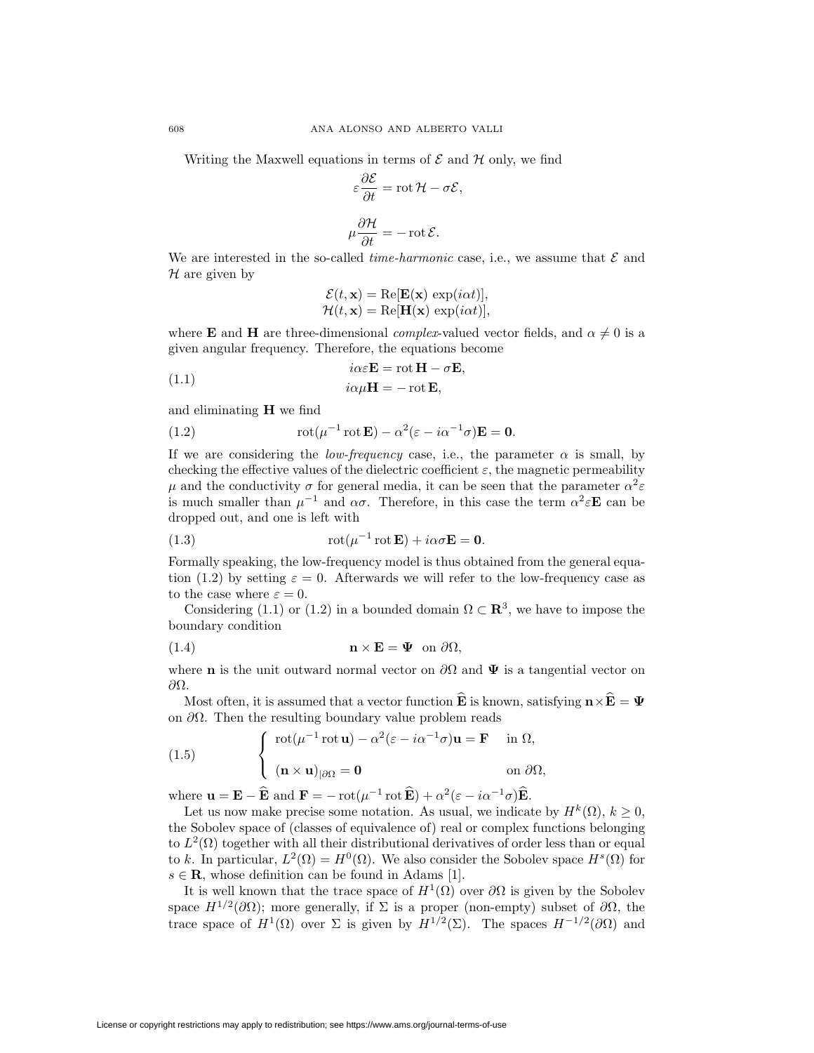Writing the Maxwell equations in terms of  $\mathcal E$  and  $\mathcal H$  only, we find

$$
\varepsilon \frac{\partial \mathcal{E}}{\partial t} = \text{rot}\,\mathcal{H} - \sigma \mathcal{E},
$$

$$
\mu \frac{\partial \mathcal{H}}{\partial t} = -\text{rot}\,\mathcal{E}.
$$

We are interested in the so-called *time-harmonic* case, i.e., we assume that *E* and *H* are given by

$$
\mathcal{E}(t, \mathbf{x}) = \text{Re}[\mathbf{E}(\mathbf{x}) \, \exp(i\alpha t)],
$$
  

$$
\mathcal{H}(t, \mathbf{x}) = \text{Re}[\mathbf{H}(\mathbf{x}) \, \exp(i\alpha t)],
$$

where **E** and **H** are three-dimensional *complex*-valued vector fields, and  $\alpha \neq 0$  is a given angular frequency. Therefore, the equations become

$$
i\alpha \varepsilon \mathbf{E} = \operatorname{rot} \mathbf{H} - \sigma \mathbf{E},
$$

(1.1) 
$$
i\alpha\mu\mathbf{H} = -\operatorname{rot}\mathbf{E},
$$

and eliminating **H** we find

(1.2) 
$$
\operatorname{rot}(\mu^{-1}\operatorname{rot}\mathbf{E}) - \alpha^2(\varepsilon - i\alpha^{-1}\sigma)\mathbf{E} = \mathbf{0}.
$$

If we are considering the *low-frequency* case, i.e., the parameter  $\alpha$  is small, by checking the effective values of the dielectric coefficient  $\varepsilon$ , the magnetic permeability *μ* and the conductivity *σ* for general media, it can be seen that the parameter  $α^2ε$ is much smaller than  $\mu^{-1}$  and  $\alpha\sigma$ . Therefore, in this case the term  $\alpha^2 \varepsilon \mathbf{E}$  can be dropped out, and one is left with

(1.3) 
$$
\operatorname{rot}(\mu^{-1}\operatorname{rot}\mathbf{E}) + i\alpha\sigma\mathbf{E} = \mathbf{0}.
$$

Formally speaking, the low-frequency model is thus obtained from the general equation (1.2) by setting  $\varepsilon = 0$ . Afterwards we will refer to the low-frequency case as to the case where  $\varepsilon = 0$ .

Considering (1.1) or (1.2) in a bounded domain  $\Omega \subset \mathbb{R}^3$ , we have to impose the boundary condition

(1.4) 
$$
\mathbf{n} \times \mathbf{E} = \mathbf{\Psi} \text{ on } \partial \Omega,
$$

where **n** is the unit outward normal vector on  $\partial\Omega$  and  $\Psi$  is a tangential vector on *∂*Ω.

Most often, it is assumed that a vector function  $\widehat{\mathbf{E}}$  is known, satisfying  $\mathbf{n} \times \widehat{\mathbf{E}} = \mathbf{\Psi}$ on *∂*Ω. Then the resulting boundary value problem reads

(1.5) 
$$
\begin{cases} \operatorname{rot}(\mu^{-1} \operatorname{rot} \mathbf{u}) - \alpha^2 (\varepsilon - i \alpha^{-1} \sigma) \mathbf{u} = \mathbf{F} & \text{in } \Omega, \\ \left. (\mathbf{n} \times \mathbf{u})_{|\partial \Omega} = \mathbf{0} & \text{on } \partial \Omega, \end{cases}
$$

where  $\mathbf{u} = \mathbf{E} - \mathbf{\hat{E}}$  and  $\mathbf{F} = -\text{rot}(\mu^{-1} \text{rot} \mathbf{\hat{E}}) + \alpha^2 (\varepsilon - i \alpha^{-1} \sigma) \mathbf{\hat{E}}$ .

Let us now make precise some notation. As usual, we indicate by  $H^k(\Omega)$ ,  $k \geq 0$ , the Sobolev space of (classes of equivalence of) real or complex functions belonging to  $L^2(\Omega)$  together with all their distributional derivatives of order less than or equal to *k*. In particular,  $L^2(\Omega) = H^0(\Omega)$ . We also consider the Sobolev space  $H^s(\Omega)$  for  $s \in \mathbf{R}$ , whose definition can be found in Adams [1].

It is well known that the trace space of  $H^1(\Omega)$  over  $\partial\Omega$  is given by the Sobolev space  $H^{1/2}(\partial\Omega)$ ; more generally, if  $\Sigma$  is a proper (non-empty) subset of  $\partial\Omega$ , the trace space of  $H^1(\Omega)$  over  $\Sigma$  is given by  $H^{1/2}(\Sigma)$ . The spaces  $H^{-1/2}(\partial\Omega)$  and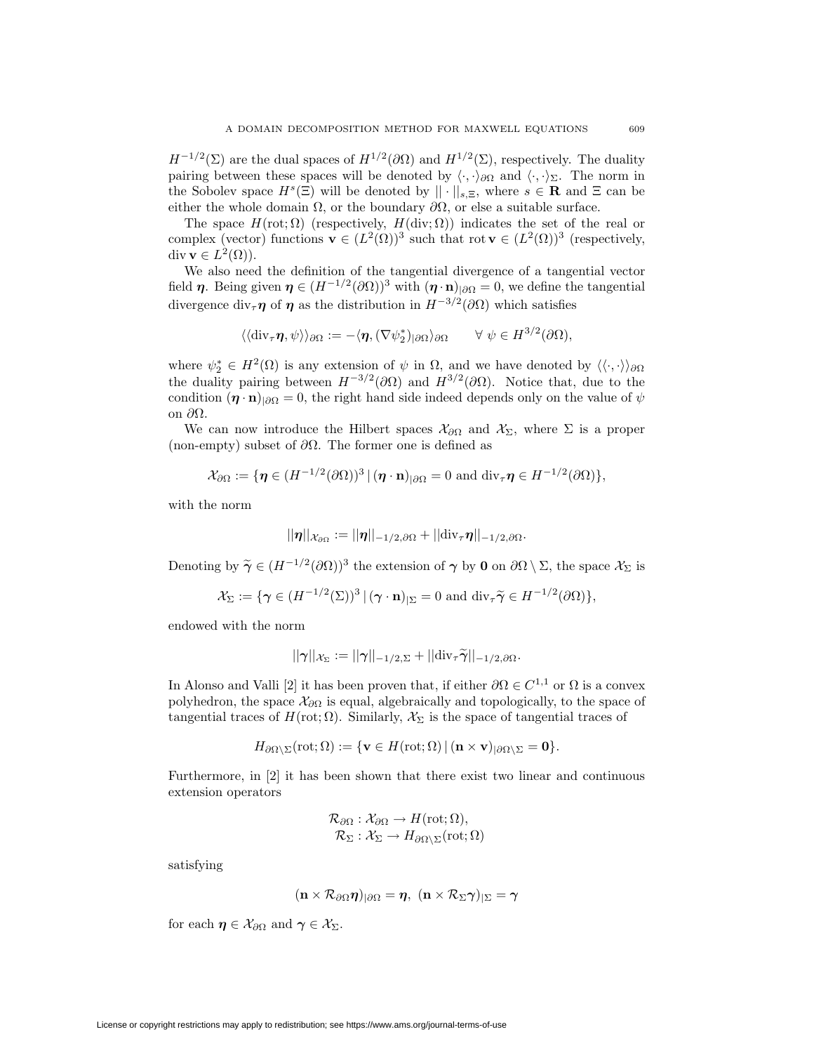$H^{-1/2}(\Sigma)$  are the dual spaces of  $H^{1/2}(\partial\Omega)$  and  $H^{1/2}(\Sigma)$ , respectively. The duality pairing between these spaces will be denoted by  $\langle \cdot, \cdot \rangle_{\partial\Omega}$  and  $\langle \cdot, \cdot \rangle_{\Sigma}$ . The norm in the Sobolev space  $H^s(\Xi)$  will be denoted by  $|| \cdot ||_{s,\Xi}$ , where  $s \in \mathbb{R}$  and  $\Xi$  can be either the whole domain  $\Omega$ , or the boundary  $\partial\Omega$ , or else a suitable surface.

The space  $H(\text{rot}; \Omega)$  (respectively,  $H(\text{div}; \Omega)$ ) indicates the set of the real or complex (vector) functions **v**  $\in (L^2(\Omega))^3$  such that rot **v**  $\in (L^2(\Omega))^3$  (respectively, div **v**  $\in L^2(\Omega)$ ).

We also need the definition of the tangential divergence of a tangential vector field *η*. Being given  $\eta \in (H^{-1/2}(\partial\Omega))^3$  with  $(\eta \cdot \mathbf{n})_{|\partial\Omega} = 0$ , we define the tangential divergence div<sub>*τ*</sub> $\eta$  of  $\eta$  as the distribution in  $H^{-3/2}(\partial\Omega)$  which satisfies

$$
\langle \langle \mathrm{div}_{\tau} \eta, \psi \rangle \rangle_{\partial \Omega} := - \langle \eta, (\nabla \psi_2^*)_{|\partial \Omega} \rangle_{\partial \Omega} \qquad \forall \ \psi \in H^{3/2}(\partial \Omega),
$$

where  $\psi_2^* \in H^2(\Omega)$  is any extension of  $\psi$  in  $\Omega$ , and we have denoted by  $\langle \langle \cdot, \cdot \rangle \rangle_{\partial \Omega}$ the duality pairing between  $H^{-3/2}(\partial\Omega)$  and  $H^{3/2}(\partial\Omega)$ . Notice that, due to the condition  $(\mathbf{\eta} \cdot \mathbf{n})_{|\partial\Omega} = 0$ , the right hand side indeed depends only on the value of  $\psi$ on *∂*Ω.

We can now introduce the Hilbert spaces  $\mathcal{X}_{\partial\Omega}$  and  $\mathcal{X}_{\Sigma}$ , where  $\Sigma$  is a proper (non-empty) subset of *∂*Ω. The former one is defined as

$$
\mathcal{X}_{\partial\Omega} := \{ \boldsymbol{\eta} \in (H^{-1/2}(\partial\Omega))^3 \, | \, (\boldsymbol{\eta} \cdot \mathbf{n})_{|\partial\Omega} = 0 \text{ and } \text{div}_{\tau} \boldsymbol{\eta} \in H^{-1/2}(\partial\Omega) \},
$$

with the norm

$$
||\boldsymbol{\eta}||_{\mathcal{X}_{\partial\Omega}}:=||\boldsymbol{\eta}||_{-1/2,\partial\Omega}+||\mathrm{div}_{\tau}\boldsymbol{\eta}||_{-1/2,\partial\Omega}.
$$

Denoting by  $\tilde{\gamma}$  ∈ (*H*<sup>−1/2</sup>(*∂*Ω))<sup>3</sup> the extension of  $\gamma$  by **0** on *∂*Ω  $\setminus$  Σ, the space  $\mathcal{X}_{\Sigma}$  is

$$
\mathcal{X}_{\Sigma} := \{ \gamma \in (H^{-1/2}(\Sigma))^3 \, | \, (\gamma \cdot \mathbf{n})_{|\Sigma} = 0 \text{ and } \text{div}_{\tau} \widetilde{\gamma} \in H^{-1/2}(\partial \Omega) \},
$$

endowed with the norm

$$
||\boldsymbol{\gamma}||_{\mathcal{X}_{\Sigma}}:=||\boldsymbol{\gamma}||_{-1/2,\Sigma}+||\mathrm{div}_{\tau}\widetilde{\boldsymbol{\gamma}}||_{-1/2,\partial\Omega}.
$$

In Alonso and Valli [2] it has been proven that, if either  $\partial \Omega \in C^{1,1}$  or  $\Omega$  is a convex polyhedron, the space *X<sup>∂</sup>*<sup>Ω</sup> is equal, algebraically and topologically, to the space of tangential traces of  $H(\text{rot}; \Omega)$ . Similarly,  $\mathcal{X}_{\Sigma}$  is the space of tangential traces of

$$
H_{\partial\Omega\setminus\Sigma}(\mathrm{rot};\Omega):=\{\mathbf{v}\in H(\mathrm{rot};\Omega)\,|\,(\mathbf{n}\times\mathbf{v})_{|\partial\Omega\setminus\Sigma}=\mathbf{0}\}.
$$

Furthermore, in [2] it has been shown that there exist two linear and continuous extension operators

$$
\mathcal{R}_{\partial\Omega}: \mathcal{X}_{\partial\Omega} \to H(\mathrm{rot}; \Omega), \mathcal{R}_{\Sigma}: \mathcal{X}_{\Sigma} \to H_{\partial\Omega \setminus \Sigma}(\mathrm{rot}; \Omega)
$$

satisfying

$$
(\mathbf{n}\times\mathcal{R}_{\partial\Omega}\boldsymbol{\eta})_{|\partial\Omega}=\boldsymbol{\eta},\ (\mathbf{n}\times\mathcal{R}_{\Sigma}\boldsymbol{\gamma})_{|\Sigma}=\boldsymbol{\gamma}
$$

for each  $\eta \in \mathcal{X}_{\partial\Omega}$  and  $\gamma \in \mathcal{X}_{\Sigma}$ .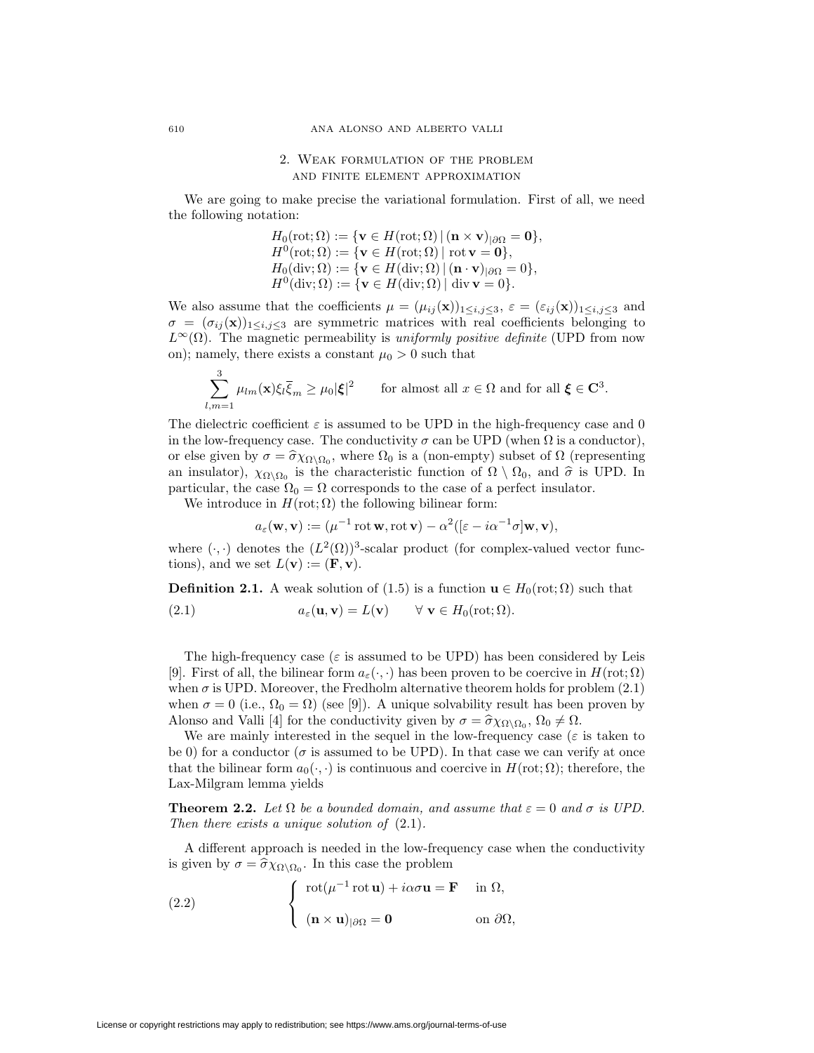# 2. Weak formulation of the problem and finite element approximation

We are going to make precise the variational formulation. First of all, we need the following notation:

$$
H_0(\text{rot}; \Omega) := \{ \mathbf{v} \in H(\text{rot}; \Omega) | (\mathbf{n} \times \mathbf{v})_{|\partial\Omega} = \mathbf{0} \},
$$
  
\n
$$
H^0(\text{rot}; \Omega) := \{ \mathbf{v} \in H(\text{rot}; \Omega) | \text{rot } \mathbf{v} = \mathbf{0} \},
$$
  
\n
$$
H_0(\text{div}; \Omega) := \{ \mathbf{v} \in H(\text{div}; \Omega) | (\mathbf{n} \cdot \mathbf{v})_{|\partial\Omega} = 0 \},
$$
  
\n
$$
H^0(\text{div}; \Omega) := \{ \mathbf{v} \in H(\text{div}; \Omega) | \text{div } \mathbf{v} = 0 \}.
$$

We also assume that the coefficients  $\mu = (\mu_{ij}(\mathbf{x}))_{1 \le i,j \le 3}$ ,  $\varepsilon = (\varepsilon_{ij}(\mathbf{x}))_{1 \le i,j \le 3}$  and  $\sigma = (\sigma_{ij}(\mathbf{x}))_{1 \leq i,j \leq 3}$  are symmetric matrices with real coefficients belonging to  $L^{\infty}(\Omega)$ . The magnetic permeability is *uniformly positive definite* (UPD from now on); namely, there exists a constant  $\mu_0 > 0$  such that

$$
\sum_{l,m=1}^3 \mu_{lm}(\mathbf{x}) \xi_l \overline{\xi}_m \ge \mu_0 |\xi|^2 \qquad \text{for almost all } x \in \Omega \text{ and for all } \xi \in \mathbf{C}^3.
$$

The dielectric coefficient  $\varepsilon$  is assumed to be UPD in the high-frequency case and 0 in the low-frequency case. The conductivity  $\sigma$  can be UPD (when  $\Omega$  is a conductor), or else given by  $\sigma = \hat{\sigma} \chi_{\Omega \setminus \Omega_0}$ , where  $\Omega_0$  is a (non-empty) subset of  $\Omega$  (representing an insulator),  $\chi_{\Omega}$ <sub> $\Omega_0$ </sub> is the characteristic function of  $\Omega \setminus \Omega_0$ , and  $\hat{\sigma}$  is UPD. In particular, the case  $\Omega_0 = \Omega$  corresponds to the case of a perfect insulator.

We introduce in  $H(\text{rot}; \Omega)$  the following bilinear form:

$$
a_{\varepsilon}(\mathbf{w}, \mathbf{v}) := (\mu^{-1} \operatorname{rot} \mathbf{w}, \operatorname{rot} \mathbf{v}) - \alpha^2 ([\varepsilon - i\alpha^{-1}\sigma] \mathbf{w}, \mathbf{v}),
$$

where  $(\cdot, \cdot)$  denotes the  $(L^2(\Omega))^3$ -scalar product (for complex-valued vector functions), and we set  $L(\mathbf{v}) := (\mathbf{F}, \mathbf{v})$ .

**Definition 2.1.** A weak solution of (1.5) is a function  $\mathbf{u} \in H_0(\text{rot}; \Omega)$  such that

(2.1) 
$$
a_{\varepsilon}(\mathbf{u}, \mathbf{v}) = L(\mathbf{v}) \quad \forall \mathbf{v} \in H_0(\text{rot}; \Omega).
$$

The high-frequency case ( $\varepsilon$  is assumed to be UPD) has been considered by Leis [9]. First of all, the bilinear form  $a_{\varepsilon}(\cdot, \cdot)$  has been proven to be coercive in  $H(\text{rot}; \Omega)$ when  $\sigma$  is UPD. Moreover, the Fredholm alternative theorem holds for problem  $(2.1)$ when  $\sigma = 0$  (i.e.,  $\Omega_0 = \Omega$ ) (see [9]). A unique solvability result has been proven by Alonso and Valli [4] for the conductivity given by  $\sigma = \hat{\sigma} \chi_{\Omega \setminus \Omega_0}$ ,  $\Omega_0 \neq \Omega$ .

We are mainly interested in the sequel in the low-frequency case ( $\varepsilon$  is taken to be 0) for a conductor ( $\sigma$  is assumed to be UPD). In that case we can verify at once that the bilinear form  $a_0(\cdot, \cdot)$  is continuous and coercive in  $H(\text{rot}; \Omega)$ ; therefore, the Lax-Milgram lemma yields

**Theorem 2.2.** Let  $\Omega$  be a bounded domain, and assume that  $\varepsilon = 0$  and  $\sigma$  is UPD. *Then there exists a unique solution of* (2.1)*.*

A different approach is needed in the low-frequency case when the conductivity is given by  $\sigma = \hat{\sigma} \chi_{\Omega \setminus \Omega_0}$ . In this case the problem

(2.2) 
$$
\begin{cases} \operatorname{rot}(\mu^{-1} \operatorname{rot} \mathbf{u}) + i\alpha \sigma \mathbf{u} = \mathbf{F} & \text{in } \Omega, \\ \left. (\mathbf{n} \times \mathbf{u})_{|\partial \Omega} = \mathbf{0} & \text{on } \partial \Omega, \end{cases}
$$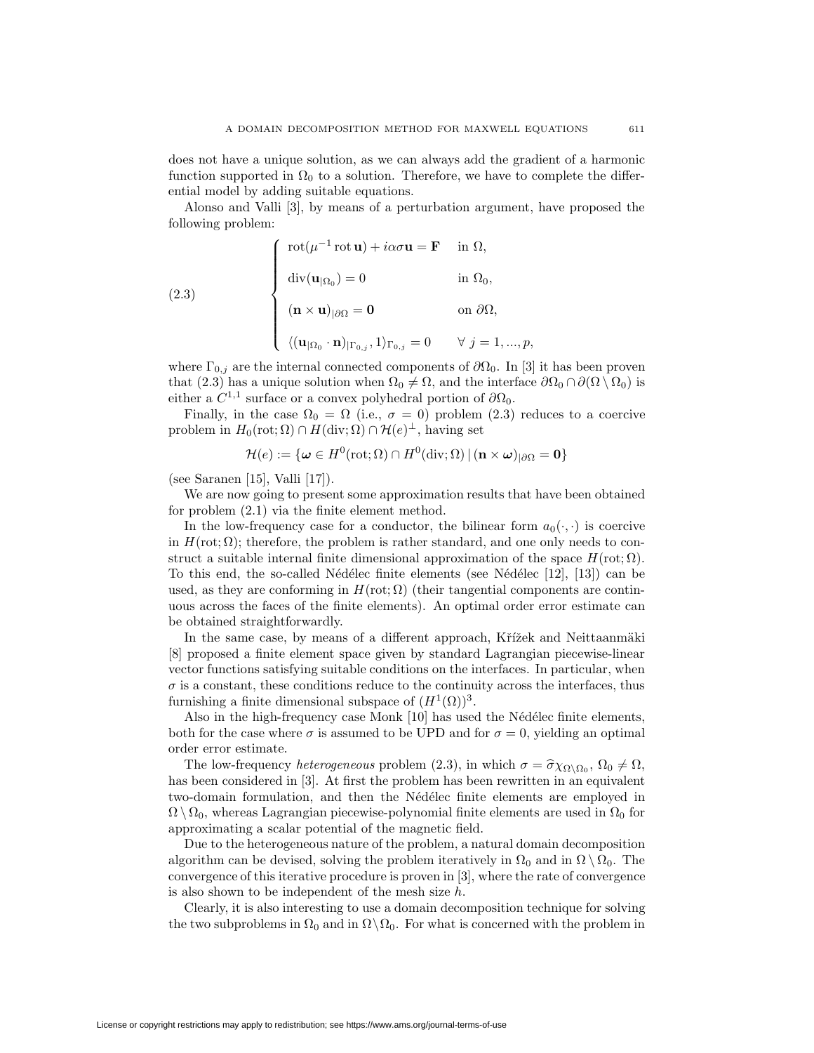does not have a unique solution, as we can always add the gradient of a harmonic function supported in  $\Omega_0$  to a solution. Therefore, we have to complete the differential model by adding suitable equations.

Alonso and Valli [3], by means of a perturbation argument, have proposed the following problem:

(2.3)  

$$
\begin{cases}\n\cot(\mu^{-1}\cot \mathbf{u}) + i\alpha\sigma\mathbf{u} = \mathbf{F} & \text{in } \Omega, \\
\operatorname{div}(\mathbf{u}_{|\Omega_0}) = 0 & \text{in } \Omega_0, \\
(\mathbf{n} \times \mathbf{u})_{|\partial\Omega} = \mathbf{0} & \text{on } \partial\Omega, \\
\langle (\mathbf{u}_{|\Omega_0} \cdot \mathbf{n})_{|\Gamma_{0,j}}, 1 \rangle_{\Gamma_{0,j}} = 0 & \forall j = 1, ..., p,\n\end{cases}
$$

where  $\Gamma_{0,i}$  are the internal connected components of  $\partial\Omega_0$ . In [3] it has been proven that (2.3) has a unique solution when  $\Omega_0 \neq \Omega$ , and the interface  $\partial \Omega_0 \cap \partial (\Omega \setminus \Omega_0)$  is either a  $C^{1,1}$  surface or a convex polyhedral portion of  $\partial\Omega_0$ .

Finally, in the case  $\Omega_0 = \Omega$  (i.e.,  $\sigma = 0$ ) problem (2.3) reduces to a coercive problem in  $H_0(\text{rot}; \Omega) \cap H(\text{div}; \Omega) \cap \mathcal{H}(e)^\perp$ , having set

$$
\mathcal{H}(e) := \{ \boldsymbol{\omega} \in H^0(\text{rot}; \Omega) \cap H^0(\text{div}; \Omega) \, | \, (\mathbf{n} \times \boldsymbol{\omega})_{|\partial\Omega} = \mathbf{0} \}
$$

(see Saranen [15], Valli [17]).

We are now going to present some approximation results that have been obtained for problem (2.1) via the finite element method.

In the low-frequency case for a conductor, the bilinear form  $a_0(\cdot, \cdot)$  is coercive in  $H(\text{rot}; \Omega)$ ; therefore, the problem is rather standard, and one only needs to construct a suitable internal finite dimensional approximation of the space  $H(\text{rot}; \Omega)$ . To this end, the so-called Nédélec finite elements (see Nédélec [12], [13]) can be used, as they are conforming in  $H(\text{rot}; \Omega)$  (their tangential components are continuous across the faces of the finite elements). An optimal order error estimate can be obtained straightforwardly.

In the same case, by means of a different approach, Křížek and Neittaanmäki [8] proposed a finite element space given by standard Lagrangian piecewise-linear vector functions satisfying suitable conditions on the interfaces. In particular, when  $\sigma$  is a constant, these conditions reduce to the continuity across the interfaces, thus furnishing a finite dimensional subspace of  $(H^1(\Omega))^3$ .

Also in the high-frequency case Monk [10] has used the Nédélec finite elements, both for the case where  $\sigma$  is assumed to be UPD and for  $\sigma = 0$ , yielding an optimal order error estimate.

The low-frequency *heterogeneous* problem (2.3), in which  $\sigma = \hat{\sigma} \chi_{\Omega \setminus \Omega_0}$ ,  $\Omega_0 \neq \Omega$ , has been considered in [3]. At first the problem has been rewritten in an equivalent two-domain formulation, and then the Nédélec finite elements are employed in  $\Omega \setminus \Omega_0$ , whereas Lagrangian piecewise-polynomial finite elements are used in  $\Omega_0$  for approximating a scalar potential of the magnetic field.

Due to the heterogeneous nature of the problem, a natural domain decomposition algorithm can be devised, solving the problem iteratively in  $\Omega_0$  and in  $\Omega \setminus \Omega_0$ . The convergence of this iterative procedure is proven in [3], where the rate of convergence is also shown to be independent of the mesh size *h*.

Clearly, it is also interesting to use a domain decomposition technique for solving the two subproblems in  $\Omega_0$  and in  $\Omega \setminus \Omega_0$ . For what is concerned with the problem in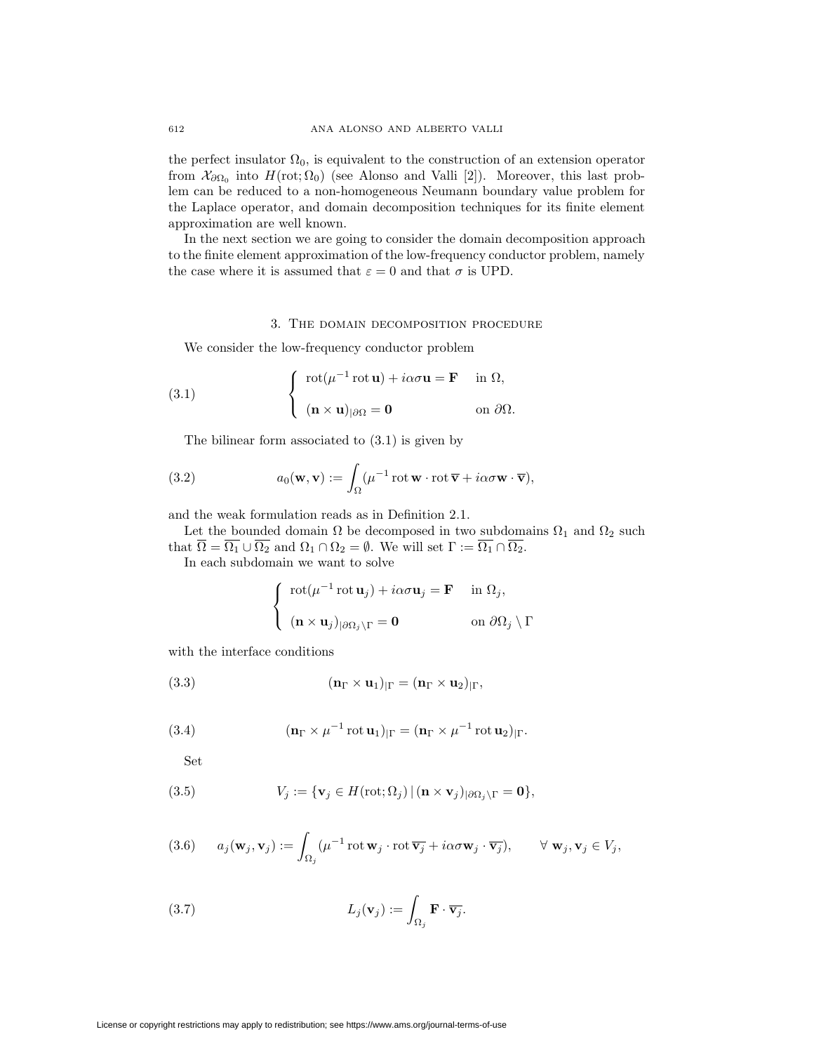the perfect insulator  $\Omega_0$ , is equivalent to the construction of an extension operator from  $\mathcal{X}_{\partial\Omega_0}$  into  $H(\text{rot}; \Omega_0)$  (see Alonso and Valli [2]). Moreover, this last problem can be reduced to a non-homogeneous Neumann boundary value problem for the Laplace operator, and domain decomposition techniques for its finite element approximation are well known.

In the next section we are going to consider the domain decomposition approach to the finite element approximation of the low-frequency conductor problem, namely the case where it is assumed that  $\varepsilon = 0$  and that  $\sigma$  is UPD.

#### 3. The domain decomposition procedure

We consider the low-frequency conductor problem

(3.1) 
$$
\begin{cases} \operatorname{rot}(\mu^{-1} \operatorname{rot} \mathbf{u}) + i\alpha \sigma \mathbf{u} = \mathbf{F} & \text{in } \Omega, \\ (\mathbf{n} \times \mathbf{u})_{|\partial \Omega} = \mathbf{0} & \text{on } \partial \Omega. \end{cases}
$$

The bilinear form associated to (3.1) is given by

(3.2) 
$$
a_0(\mathbf{w}, \mathbf{v}) := \int_{\Omega} (\mu^{-1} \operatorname{rot} \mathbf{w} \cdot \operatorname{rot} \overline{\mathbf{v}} + i\alpha \sigma \mathbf{w} \cdot \overline{\mathbf{v}}),
$$

and the weak formulation reads as in Definition 2.1.

Let the bounded domain  $\Omega$  be decomposed in two subdomains  $\Omega_1$  and  $\Omega_2$  such that  $\overline{\Omega} = \overline{\Omega_1} \cup \overline{\Omega_2}$  and  $\Omega_1 \cap \Omega_2 = \emptyset$ . We will set  $\Gamma := \overline{\Omega_1} \cap \overline{\Omega_2}$ .

In each subdomain we want to solve

$$
\begin{cases}\n\operatorname{rot}(\mu^{-1}\operatorname{rot}\mathbf{u}_j) + i\alpha\sigma\mathbf{u}_j = \mathbf{F} & \text{in } \Omega_j, \\
(\mathbf{n} \times \mathbf{u}_j)_{|\partial\Omega_j \setminus \Gamma} = \mathbf{0} & \text{on } \partial\Omega_j \setminus \Gamma\n\end{cases}
$$

with the interface conditions

(3.3) 
$$
(\mathbf{n}_{\Gamma} \times \mathbf{u}_1)_{|\Gamma} = (\mathbf{n}_{\Gamma} \times \mathbf{u}_2)_{|\Gamma},
$$

(3.4) 
$$
(\mathbf{n}_{\Gamma} \times \mu^{-1} \operatorname{rot} \mathbf{u}_{1})_{|\Gamma} = (\mathbf{n}_{\Gamma} \times \mu^{-1} \operatorname{rot} \mathbf{u}_{2})_{|\Gamma}.
$$

Set

(3.5) 
$$
V_j := \{ \mathbf{v}_j \in H(\text{rot}; \Omega_j) \, | \, (\mathbf{n} \times \mathbf{v}_j)_{|\partial \Omega_j \setminus \Gamma} = \mathbf{0} \},
$$

(3.6) 
$$
a_j(\mathbf{w}_j, \mathbf{v}_j) := \int_{\Omega_j} (\mu^{-1} \operatorname{rot} \mathbf{w}_j \cdot \operatorname{rot} \overline{\mathbf{v}_j} + i\alpha \sigma \mathbf{w}_j \cdot \overline{\mathbf{v}_j}), \qquad \forall \mathbf{w}_j, \mathbf{v}_j \in V_j,
$$

(3.7) 
$$
L_j(\mathbf{v}_j) := \int_{\Omega_j} \mathbf{F} \cdot \overline{\mathbf{v}_j}.
$$

License or copyright restrictions may apply to redistribution; see https://www.ams.org/journal-terms-of-use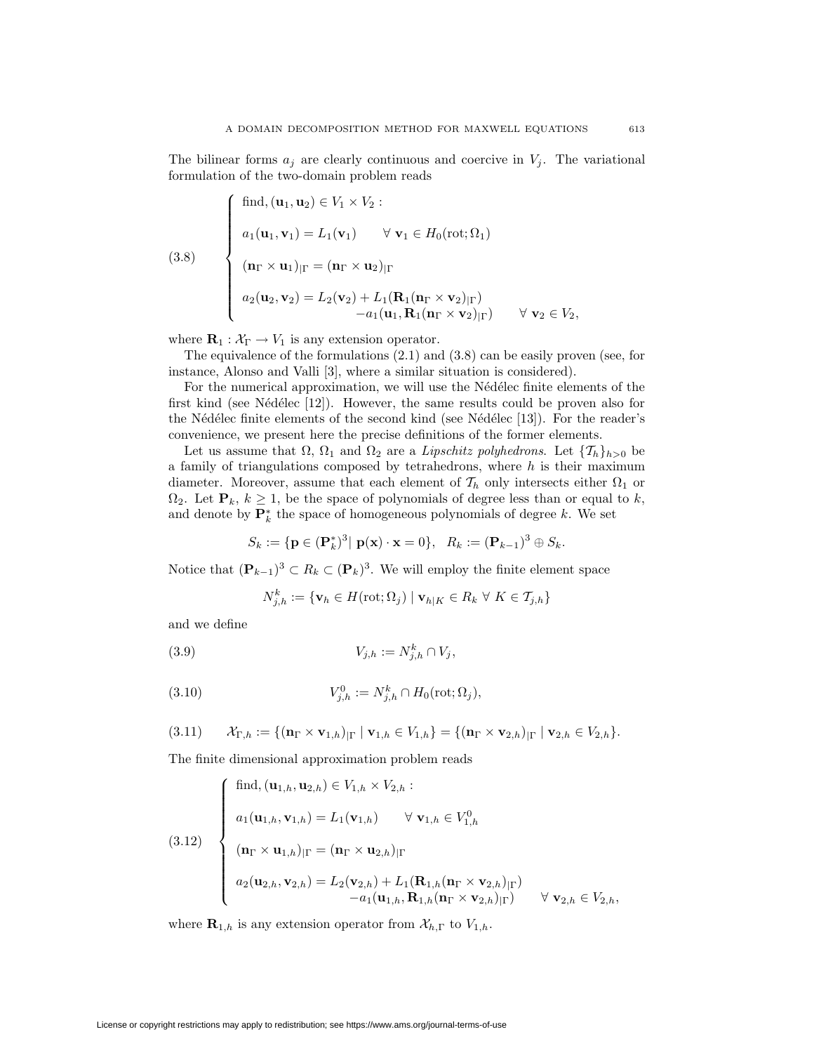The bilinear forms  $a_j$  are clearly continuous and coercive in  $V_j$ . The variational formulation of the two-domain problem reads

(3.8)  

$$
\begin{cases}\n\text{find, } (\mathbf{u}_1, \mathbf{u}_2) \in V_1 \times V_2: \\
a_1(\mathbf{u}_1, \mathbf{v}_1) = L_1(\mathbf{v}_1) \quad \forall \mathbf{v}_1 \in H_0(\text{rot}; \Omega_1) \\
(\mathbf{n}_\Gamma \times \mathbf{u}_1)_{|\Gamma} = (\mathbf{n}_\Gamma \times \mathbf{u}_2)_{|\Gamma} \\
a_2(\mathbf{u}_2, \mathbf{v}_2) = L_2(\mathbf{v}_2) + L_1(\mathbf{R}_1(\mathbf{n}_\Gamma \times \mathbf{v}_2)_{|\Gamma}) \\
-a_1(\mathbf{u}_1, \mathbf{R}_1(\mathbf{n}_\Gamma \times \mathbf{v}_2)_{|\Gamma}) \quad \forall \mathbf{v}_2 \in V_2,\n\end{cases}
$$

where  $\mathbf{R}_1 : \mathcal{X}_{\Gamma} \to V_1$  is any extension operator.

The equivalence of the formulations (2.1) and (3.8) can be easily proven (see, for instance, Alonso and Valli [3], where a similar situation is considered).

For the numerical approximation, we will use the Nédélec finite elements of the first kind (see Nédélec  $[12]$ ). However, the same results could be proven also for the Nédélec finite elements of the second kind (see Nédélec  $[13]$ ). For the reader's convenience, we present here the precise definitions of the former elements.

Let us assume that  $\Omega$ ,  $\Omega_1$  and  $\Omega_2$  are a *Lipschitz polyhedrons*. Let  $\{\mathcal{T}_h\}_{h>0}$  be a family of triangulations composed by tetrahedrons, where *h* is their maximum diameter. Moreover, assume that each element of  $\mathcal{T}_h$  only intersects either  $\Omega_1$  or  $\Omega_2$ . Let  $\mathbf{P}_k$ ,  $k \geq 1$ , be the space of polynomials of degree less than or equal to *k*, and denote by  $\mathbf{P}_k^*$  the space of homogeneous polynomials of degree *k*. We set

$$
S_k := {\mathbf{p} \in (\mathbf{P}_k^*)^3 | \mathbf{p}(\mathbf{x}) \cdot \mathbf{x} = 0}, \ \ R_k := (\mathbf{P}_{k-1})^3 \oplus S_k.
$$

Notice that  $(\mathbf{P}_{k-1})^3$  ⊂  $R_k$  ⊂  $(\mathbf{P}_k)^3$ . We will employ the finite element space

$$
N_{j,h}^k := \{ \mathbf{v}_h \in H(\text{rot};\Omega_j) \mid \mathbf{v}_{h|K} \in R_k \ \forall \ K \in \mathcal{T}_{j,h} \}
$$

and we define

$$
(3.9) \t\t V_{j,h} := N_{j,h}^k \cap V_j,
$$

(3.10) 
$$
V_{j,h}^{0} := N_{j,h}^{k} \cap H_{0}(\text{rot}; \Omega_{j}),
$$

$$
(3.11) \qquad \mathcal{X}_{\Gamma,h} := \{ (\mathbf{n}_{\Gamma} \times \mathbf{v}_{1,h})_{|\Gamma} \mid \mathbf{v}_{1,h} \in V_{1,h} \} = \{ (\mathbf{n}_{\Gamma} \times \mathbf{v}_{2,h})_{|\Gamma} \mid \mathbf{v}_{2,h} \in V_{2,h} \}.
$$

The finite dimensional approximation problem reads

(3.12)  
\n
$$
\begin{cases}\n\text{find}, (\mathbf{u}_{1,h}, \mathbf{u}_{2,h}) \in V_{1,h} \times V_{2,h} : \\
a_1(\mathbf{u}_{1,h}, \mathbf{v}_{1,h}) = L_1(\mathbf{v}_{1,h}) \quad \forall \mathbf{v}_{1,h} \in V_{1,h}^0 \\
(\mathbf{u}_{\Gamma} \times \mathbf{u}_{1,h})_{|\Gamma} = (\mathbf{n}_{\Gamma} \times \mathbf{u}_{2,h})_{|\Gamma} \\
a_2(\mathbf{u}_{2,h}, \mathbf{v}_{2,h}) = L_2(\mathbf{v}_{2,h}) + L_1(\mathbf{R}_{1,h}(\mathbf{n}_{\Gamma} \times \mathbf{v}_{2,h})_{|\Gamma}) \\
-a_1(\mathbf{u}_{1,h}, \mathbf{R}_{1,h}(\mathbf{n}_{\Gamma} \times \mathbf{v}_{2,h})_{|\Gamma}) \quad \forall \mathbf{v}_{2,h} \in V_{2,h},\n\end{cases}
$$

where  $\mathbf{R}_{1,h}$  is any extension operator from  $\mathcal{X}_{h,\Gamma}$  to  $V_{1,h}$ .

License or copyright restrictions may apply to redistribution; see https://www.ams.org/journal-terms-of-use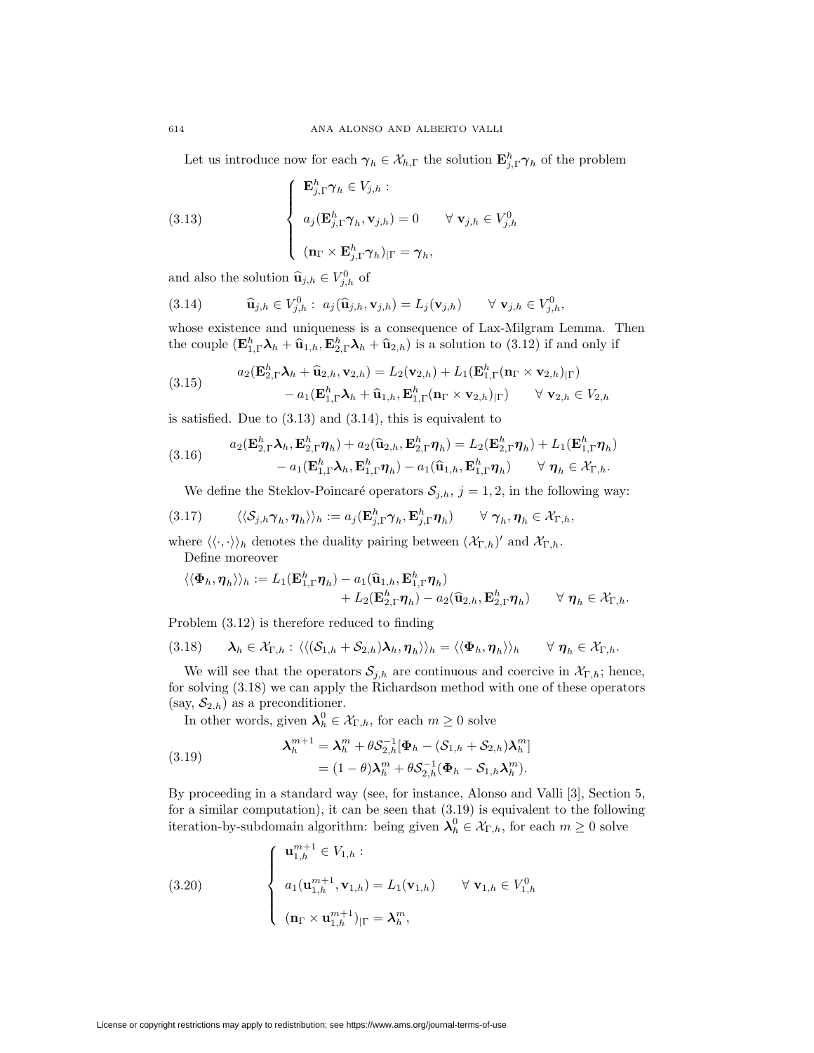Let us introduce now for each  $\gamma_h \in \mathcal{X}_{h,\Gamma}$  the solution  $\mathbf{E}_{j,\Gamma}^h \gamma_h$  of the problem

(3.13) 
$$
\begin{cases} \mathbf{E}_{j,\Gamma}^{h} \boldsymbol{\gamma}_{h} \in V_{j,h} : \\ a_{j}(\mathbf{E}_{j,\Gamma}^{h} \boldsymbol{\gamma}_{h}, \mathbf{v}_{j,h}) = 0 \quad \forall \mathbf{v}_{j,h} \in V_{j,h}^{0} \\ (\mathbf{n}_{\Gamma} \times \mathbf{E}_{j,\Gamma}^{h} \boldsymbol{\gamma}_{h})_{|\Gamma} = \boldsymbol{\gamma}_{h}, \end{cases}
$$

and also the solution  $\widehat{\mathbf{u}}_{j,h} \in V_{j,h}^0$  of

(3.14) 
$$
\widehat{\mathbf{u}}_{j,h} \in V_{j,h}^0: a_j(\widehat{\mathbf{u}}_{j,h}, \mathbf{v}_{j,h}) = L_j(\mathbf{v}_{j,h}) \quad \forall \mathbf{v}_{j,h} \in V_{j,h}^0,
$$

whose existence and uniqueness is a consequence of Lax-Milgram Lemma. Then the couple  $(\mathbf{E}_{1,\Gamma}^h \lambda_h + \hat{\mathbf{u}}_{1,h}, \mathbf{E}_{2,\Gamma}^h \lambda_h + \hat{\mathbf{u}}_{2,h})$  is a solution to (3.12) if and only if

(3.15) 
$$
a_2(\mathbf{E}_{2,\Gamma}^h \mathbf{\lambda}_h + \widehat{\mathbf{u}}_{2,h}, \mathbf{v}_{2,h}) = L_2(\mathbf{v}_{2,h}) + L_1(\mathbf{E}_{1,\Gamma}^h (\mathbf{n}_{\Gamma} \times \mathbf{v}_{2,h})_{|\Gamma}) - a_1(\mathbf{E}_{1,\Gamma}^h \mathbf{\lambda}_h + \widehat{\mathbf{u}}_{1,h}, \mathbf{E}_{1,\Gamma}^h (\mathbf{n}_{\Gamma} \times \mathbf{v}_{2,h})_{|\Gamma}) \qquad \forall \mathbf{v}_{2,h} \in V_{2,h}
$$

is satisfied. Due to (3.13) and (3.14), this is equivalent to

(3.16) 
$$
a_2(\mathbf{E}_{2,\Gamma}^h \mathbf{\lambda}_h, \mathbf{E}_{2,\Gamma}^h \boldsymbol{\eta}_h) + a_2(\widehat{\mathbf{u}}_{2,h}, \mathbf{E}_{2,\Gamma}^h \boldsymbol{\eta}_h) = L_2(\mathbf{E}_{2,\Gamma}^h \boldsymbol{\eta}_h) + L_1(\mathbf{E}_{1,\Gamma}^h \boldsymbol{\eta}_h) - a_1(\mathbf{E}_{1,\Gamma}^h \mathbf{\lambda}_h, \mathbf{E}_{1,\Gamma}^h \boldsymbol{\eta}_h) - a_1(\widehat{\mathbf{u}}_{1,h}, \mathbf{E}_{1,\Gamma}^h \boldsymbol{\eta}_h) \qquad \forall \ \boldsymbol{\eta}_h \in \mathcal{X}_{\Gamma,h}.
$$

We define the Steklov-Poincaré operators  $S_{j,h}$ ,  $j = 1,2$ , in the following way:

$$
(3.17) \qquad \langle \langle S_{j,h} \gamma_h, \eta_h \rangle \rangle_h := a_j (\mathbf{E}^h_{j,\Gamma} \gamma_h, \mathbf{E}^h_{j,\Gamma} \eta_h) \qquad \forall \ \gamma_h, \eta_h \in \mathcal{X}_{\Gamma,h},
$$

where  $\langle \langle \cdot, \cdot \rangle \rangle_h$  denotes the duality pairing between  $(\mathcal{X}_{\Gamma,h})'$  and  $\mathcal{X}_{\Gamma,h}$ . Define moreover

$$
\langle \langle \Phi_h, \eta_h \rangle \rangle_h := L_1(\mathbf{E}_{1,\Gamma}^h \eta_h) - a_1(\widehat{\mathbf{u}}_{1,h}, \mathbf{E}_{1,\Gamma}^h \eta_h) + L_2(\mathbf{E}_{2,\Gamma}^h \eta_h) - a_2(\widehat{\mathbf{u}}_{2,h}, \mathbf{E}_{2,\Gamma}^h \eta_h) \qquad \forall \ \eta_h \in \mathcal{X}_{\Gamma,h}.
$$

Problem (3.12) is therefore reduced to finding

$$
(3.18) \qquad \lambda_h \in \mathcal{X}_{\Gamma,h}: \langle\langle (\mathcal{S}_{1,h} + \mathcal{S}_{2,h})\lambda_h, \eta_h \rangle\rangle_h = \langle\langle \Phi_h, \eta_h \rangle\rangle_h \qquad \forall \ \eta_h \in \mathcal{X}_{\Gamma,h}.
$$

We will see that the operators  $S_{j,h}$  are continuous and coercive in  $\mathcal{X}_{\Gamma,h}$ ; hence, for solving (3.18) we can apply the Richardson method with one of these operators  $(say, S_{2,h})$  as a preconditioner.

In other words, given  $\lambda_h^0 \in \mathcal{X}_{\Gamma,h}$ , for each  $m \geq 0$  solve

(3.19) 
$$
\lambda_h^{m+1} = \lambda_h^m + \theta S_{2,h}^{-1} [\Phi_h - (S_{1,h} + S_{2,h}) \lambda_h^m] = (1 - \theta) \lambda_h^m + \theta S_{2,h}^{-1} (\Phi_h - S_{1,h} \lambda_h^m).
$$

By proceeding in a standard way (see, for instance, Alonso and Valli [3], Section 5, for a similar computation), it can be seen that (3.19) is equivalent to the following iteration-by-subdomain algorithm: being given  $\lambda_h^0 \in \mathcal{X}_{\Gamma,h}$ , for each  $m \geq 0$  solve

(3.20) 
$$
\begin{cases} \mathbf{u}_{1,h}^{m+1} \in V_{1,h} : \\ a_1(\mathbf{u}_{1,h}^{m+1}, \mathbf{v}_{1,h}) = L_1(\mathbf{v}_{1,h}) \quad \forall \mathbf{v}_{1,h} \in V_{1,h}^0 \\ (\mathbf{n}_{\Gamma} \times \mathbf{u}_{1,h}^{m+1})_{|\Gamma} = \boldsymbol{\lambda}_h^m, \end{cases}
$$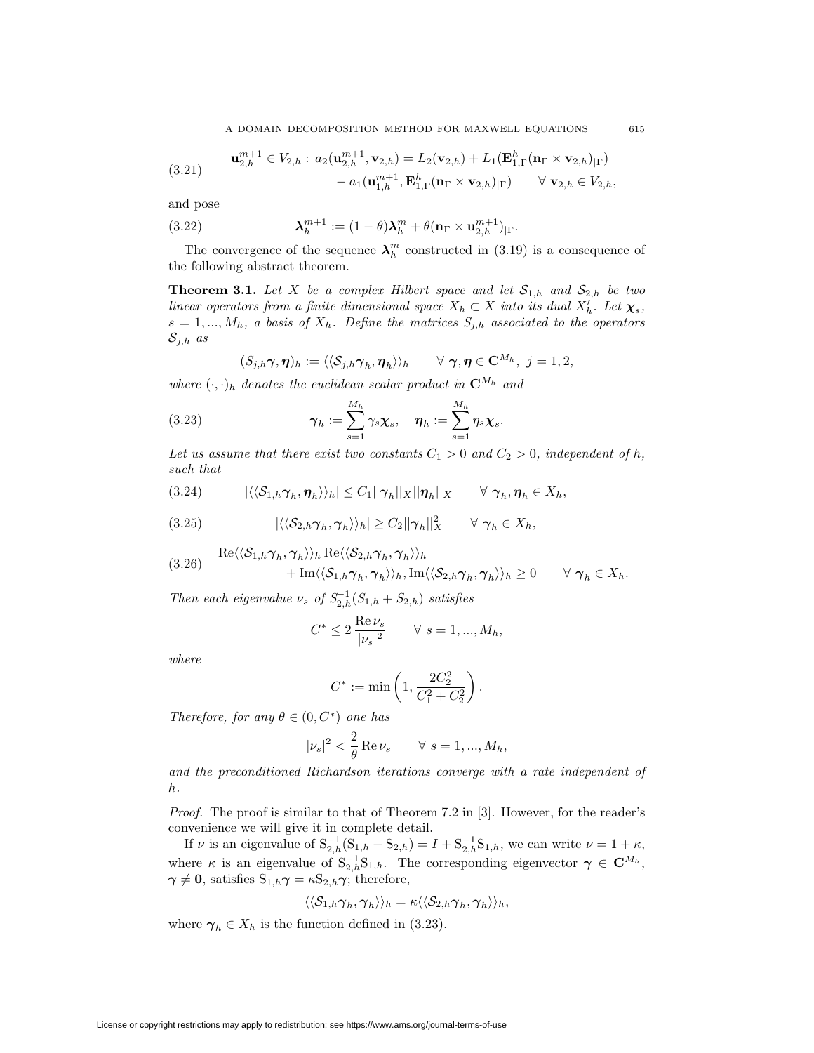(3.21) 
$$
\mathbf{u}_{2,h}^{m+1} \in V_{2,h}: a_2(\mathbf{u}_{2,h}^{m+1}, \mathbf{v}_{2,h}) = L_2(\mathbf{v}_{2,h}) + L_1(\mathbf{E}_{1,\Gamma}^h(\mathbf{n}_{\Gamma} \times \mathbf{v}_{2,h})_{|\Gamma}) -a_1(\mathbf{u}_{1,h}^{m+1}, \mathbf{E}_{1,\Gamma}^h(\mathbf{n}_{\Gamma} \times \mathbf{v}_{2,h})_{|\Gamma}) \quad \forall \mathbf{v}_{2,h} \in V_{2,h},
$$

and pose

(3.22) 
$$
\lambda_h^{m+1} := (1-\theta)\lambda_h^m + \theta(\mathbf{n}_\Gamma \times \mathbf{u}_{2,h}^{m+1})_{|\Gamma}.
$$

The convergence of the sequence  $\lambda_h^m$  constructed in (3.19) is a consequence of the following abstract theorem.

**Theorem 3.1.** Let *X* be a complex Hilbert space and let  $S_{1,h}$  and  $S_{2,h}$  be two *linear operators from a finite dimensional space*  $X_h \subset X$  *into its dual*  $X'_h$ *. Let*  $\chi_s$ *,*  $s = 1, \ldots, M_h$ *, a basis of*  $X_h$ *. Define the matrices*  $S_{j,h}$  *associated to the operators Sj,h as*

$$
(S_{j,h}\gamma,\boldsymbol{\eta})_h:=\langle\langle \mathcal{S}_{j,h}\gamma_h,\boldsymbol{\eta}_h\rangle\rangle_h \qquad \forall \ \gamma,\boldsymbol{\eta}\in\mathbf{C}^{M_h},\ j=1,2,
$$

*where*  $(\cdot, \cdot)_h$  *denotes the euclidean scalar product in*  $\mathbb{C}^{M_h}$  *and* 

(3.23) 
$$
\boldsymbol{\gamma}_h := \sum_{s=1}^{M_h} \gamma_s \boldsymbol{\chi}_s, \quad \boldsymbol{\eta}_h := \sum_{s=1}^{M_h} \eta_s \boldsymbol{\chi}_s.
$$

Let us assume that there exist two constants  $C_1 > 0$  and  $C_2 > 0$ , independent of h, *such that*

$$
(3.24) \qquad |\langle\langle \mathcal{S}_{1,h}\boldsymbol{\gamma}_h,\boldsymbol{\eta}_h\rangle\rangle_h|\leq C_1||\boldsymbol{\gamma}_h||_X||\boldsymbol{\eta}_h||_X \qquad \forall \ \boldsymbol{\gamma}_h,\boldsymbol{\eta}_h\in X_h,
$$

$$
(3.25) \qquad |\langle \langle S_{2,h} \gamma_h, \gamma_h \rangle \rangle_h| \geq C_2 ||\gamma_h||_X^2 \qquad \forall \ \gamma_h \in X_h,
$$

(3.26) 
$$
\text{Re}\langle\langle \mathcal{S}_{1,h}\gamma_h, \gamma_h \rangle\rangle_h \text{Re}\langle\langle \mathcal{S}_{2,h}\gamma_h, \gamma_h \rangle\rangle_h + \text{Im}\langle\langle \mathcal{S}_{1,h}\gamma_h, \gamma_h \rangle\rangle_h, \text{Im}\langle\langle \mathcal{S}_{2,h}\gamma_h, \gamma_h \rangle\rangle_h \geq 0 \quad \forall \gamma_h \in X_h.
$$

*Then each eigenvalue*  $\nu_s$  *of*  $S_{2,h}^{-1}(S_{1,h} + S_{2,h})$  *satisfies* 

$$
C^* \le 2 \frac{\text{Re}\,\nu_s}{|\nu_s|^2} \qquad \forall \ s = 1, ..., M_h,
$$

*where*

$$
C^* := \min\left(1, \frac{2C_2^2}{C_1^2 + C_2^2}\right).
$$

*Therefore, for any*  $\theta \in (0, C^*)$  *one has* 

$$
|\nu_s|^2 < \frac{2}{\theta} \operatorname{Re} \nu_s \qquad \forall \ s = 1, ..., M_h,
$$

*and the preconditioned Richardson iterations converge with a rate independent of h.*

*Proof.* The proof is similar to that of Theorem 7.2 in [3]. However, for the reader's convenience we will give it in complete detail.

If *ν* is an eigenvalue of  $S_{2,h}^{-1}(S_{1,h} + S_{2,h}) = I + S_{2,h}^{-1}S_{1,h}$ , we can write  $\nu = 1 + \kappa$ , where *κ* is an eigenvalue of  $S_{2,h}^{-1}S_{1,h}$ . The corresponding eigenvector  $\gamma \in \mathbb{C}^{M_h}$ ,  $\gamma \neq 0$ , satisfies  $S_{1,h}\gamma = \kappa S_{2,h}\gamma$ ; therefore,

$$
\langle\langle \mathcal{S}_{1,h} \boldsymbol{\gamma}_h, \boldsymbol{\gamma}_h \rangle\rangle_h = \kappa \langle\langle \mathcal{S}_{2,h} \boldsymbol{\gamma}_h, \boldsymbol{\gamma}_h \rangle\rangle_h,
$$

where  $\gamma_h \in X_h$  is the function defined in (3.23).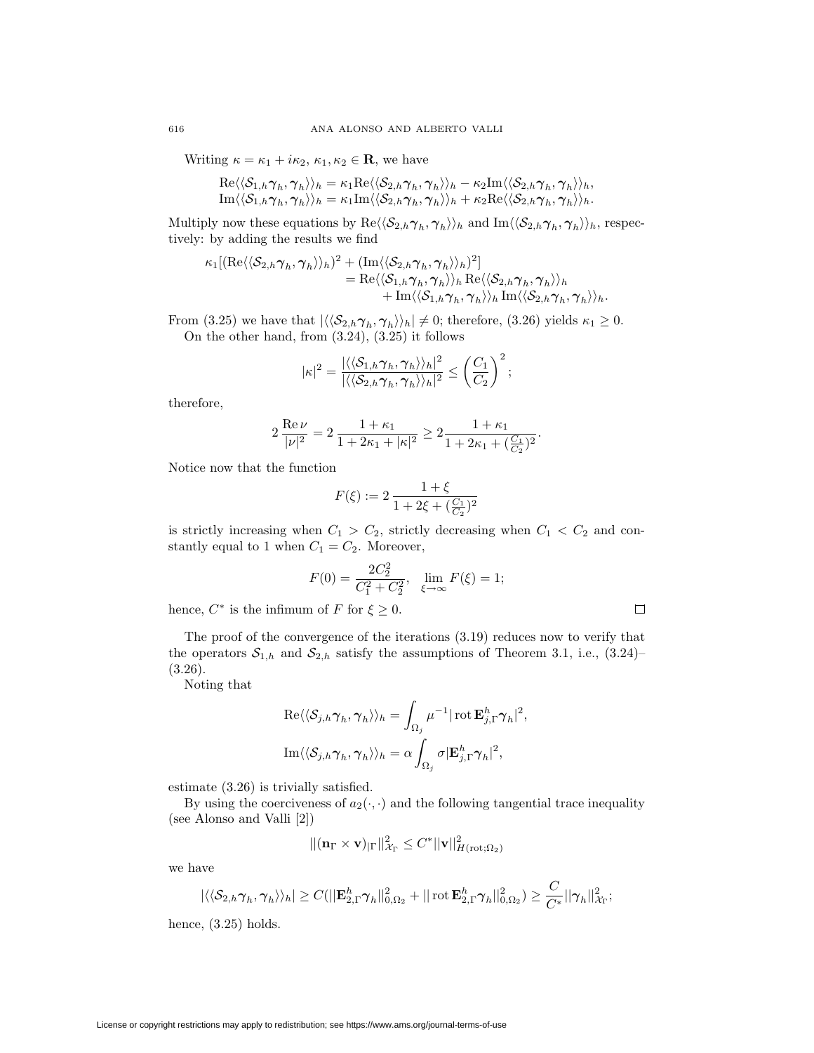Writing  $\kappa = \kappa_1 + i\kappa_2, \kappa_1, \kappa_2 \in \mathbf{R}$ , we have

$$
\mathrm{Re}\langle\langle \mathcal{S}_{1,h}\boldsymbol{\gamma}_h,\boldsymbol{\gamma}_h \rangle\rangle_h=\kappa_1 \mathrm{Re}\langle\langle \mathcal{S}_{2,h}\boldsymbol{\gamma}_h,\boldsymbol{\gamma}_h \rangle\rangle_h-\kappa_2 \mathrm{Im}\langle\langle \mathcal{S}_{2,h}\boldsymbol{\gamma}_h,\boldsymbol{\gamma}_h \rangle\rangle_h,\\ \mathrm{Im}\langle \langle \mathcal{S}_{1,h}\boldsymbol{\gamma}_h,\boldsymbol{\gamma}_h \rangle\rangle_h=\kappa_1 \mathrm{Im}\langle\langle \mathcal{S}_{2,h}\boldsymbol{\gamma}_h,\boldsymbol{\gamma}_h \rangle\rangle_h+\kappa_2 \mathrm{Re}\langle\langle \mathcal{S}_{2,h}\boldsymbol{\gamma}_h,\boldsymbol{\gamma}_h \rangle\rangle_h.
$$

Multiply now these equations by  $\text{Re}\langle\langle \mathcal{S}_{2,h}\gamma_h, \gamma_h \rangle\rangle_h$  and  $\text{Im}\langle\langle \mathcal{S}_{2,h}\gamma_h, \gamma_h \rangle\rangle_h$ , respectively: by adding the results we find

$$
\kappa_1[(\text{Re}\langle\langle S_{2,h}\gamma_h,\gamma_h\rangle\rangle_h)^2 + (\text{Im}\langle\langle S_{2,h}\gamma_h,\gamma_h\rangle\rangle_h)^2] \n= \text{Re}\langle\langle S_{1,h}\gamma_h,\gamma_h\rangle\rangle_h \text{Re}\langle\langle S_{2,h}\gamma_h,\gamma_h\rangle\rangle_h \n+ \text{Im}\langle\langle S_{1,h}\gamma_h,\gamma_h\rangle\rangle_h \text{Im}\langle\langle S_{2,h}\gamma_h,\gamma_h\rangle\rangle_h.
$$

From (3.25) we have that  $|\langle\langle \mathcal{S}_{2,h}\gamma_h, \gamma_h \rangle\rangle_h| \neq 0$ ; therefore, (3.26) yields  $\kappa_1 \geq 0$ . On the other hand, from (3.24), (3.25) it follows

$$
|\kappa|^2 = \frac{|\langle\langle \mathcal{S}_{1,h}\gamma_h, \gamma_h \rangle\rangle_h|^2}{|\langle\langle \mathcal{S}_{2,h}\gamma_h, \gamma_h \rangle\rangle_h|^2} \le \left(\frac{C_1}{C_2}\right)^2;
$$

therefore,

$$
2\,\frac{\mathrm{Re}\,\nu}{|\nu|^2}=2\,\frac{1+\kappa_1}{1+2\kappa_1+|\kappa|^2}\geq 2\frac{1+\kappa_1}{1+2\kappa_1+(\frac{C_1}{C_2})^2}.
$$

Notice now that the function

$$
F(\xi):=2\,\frac{1+\xi}{1+2\xi+(\frac{C_1}{C_2})^2}
$$

is strictly increasing when  $C_1 > C_2$ , strictly decreasing when  $C_1 < C_2$  and constantly equal to 1 when  $C_1 = C_2$ . Moreover,

$$
F(0) = \frac{2C_2^2}{C_1^2 + C_2^2}, \quad \lim_{\xi \to \infty} F(\xi) = 1;
$$

 $\Box$ 

hence,  $C^*$  is the infimum of  $F$  for  $\xi \geq 0$ .

The proof of the convergence of the iterations (3.19) reduces now to verify that the operators  $S_{1,h}$  and  $S_{2,h}$  satisfy the assumptions of Theorem 3.1, i.e., (3.24)–  $(3.26).$ 

Noting that

$$
\operatorname{Re}\langle\langle \mathcal{S}_{j,h}\boldsymbol{\gamma}_h,\boldsymbol{\gamma}_h\rangle\rangle_h = \int_{\Omega_j} \mu^{-1} |\operatorname{rot} \mathbf{E}_{j,\Gamma}^h \boldsymbol{\gamma}_h|^2,
$$
  

$$
\operatorname{Im}\langle\langle \mathcal{S}_{j,h}\boldsymbol{\gamma}_h,\boldsymbol{\gamma}_h\rangle\rangle_h = \alpha \int_{\Omega_j} \sigma |\mathbf{E}_{j,\Gamma}^h \boldsymbol{\gamma}_h|^2,
$$

estimate (3.26) is trivially satisfied.

By using the coerciveness of  $a_2(\cdot, \cdot)$  and the following tangential trace inequality (see Alonso and Valli [2])

$$
||(\mathbf{n}_\Gamma \times \mathbf{v})_{|\Gamma}||^2_{\mathcal{X}_\Gamma} \leq C^* ||\mathbf{v}||^2_{H(\mathrm{rot};\Omega_2)}
$$

we have

$$
|\langle\langle\mathcal{S}_{2,h}\boldsymbol{\gamma}_h,\boldsymbol{\gamma}_h\rangle\rangle_h|\geq C(||\mathbf{E}^h_{2,\Gamma}\boldsymbol{\gamma}_h||_{0,\Omega_2}^2+||\operatorname{rot}\mathbf{E}^h_{2,\Gamma}\boldsymbol{\gamma}_h||_{0,\Omega_2}^2)\geq \frac{C}{C^*}||\boldsymbol{\gamma}_h||_{\mathcal{X}_{\Gamma}}^2;
$$

hence, (3.25) holds.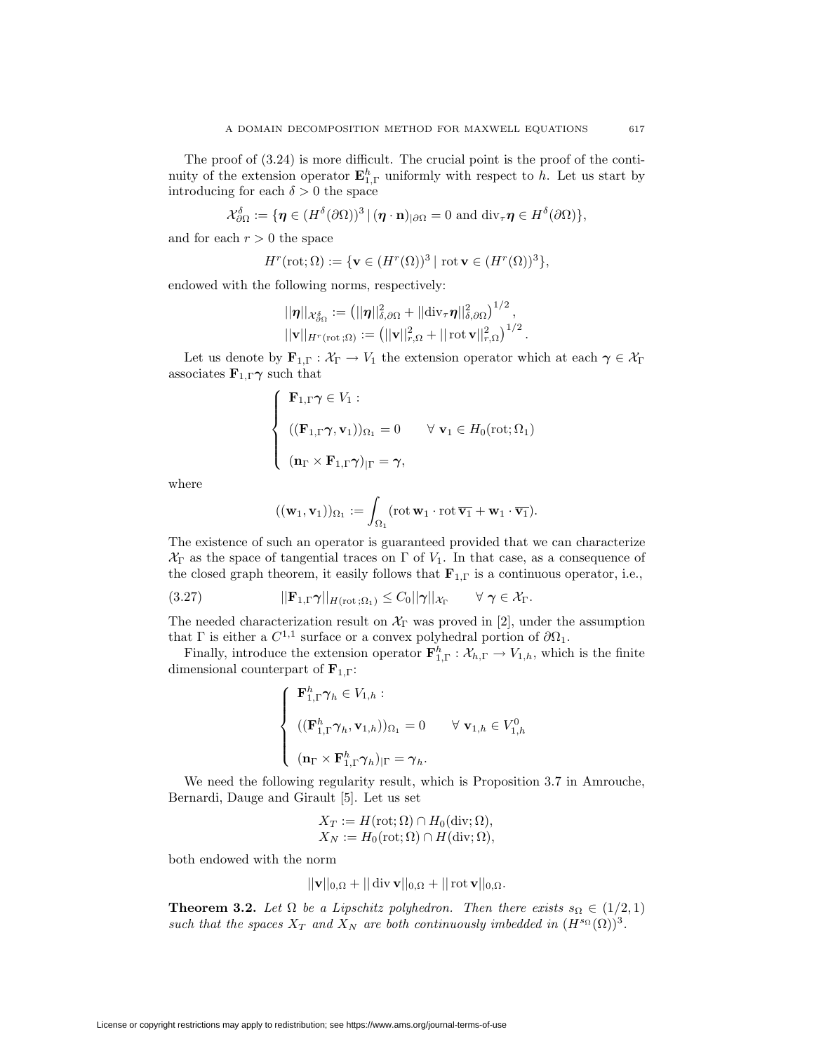$$
\mathcal{X}_{\partial\Omega}^{\delta} := \{ \eta \in (H^{\delta}(\partial\Omega))^3 \, | \, (\eta \cdot \mathbf{n})_{|\partial\Omega} = 0 \text{ and } \text{div}_{\tau} \eta \in H^{\delta}(\partial\Omega) \},
$$

and for each  $r > 0$  the space

$$
H^r(\text{\rm rot};\Omega):=\{\mathbf{v}\in (H^r(\Omega))^3\,|\,\,\text{\rm rot}\,\mathbf{v}\in (H^r(\Omega))^3\},
$$

endowed with the following norms, respectively:

$$
\|\eta\|_{\mathcal{X}_{\partial\Omega}^{\delta}} := \left(||\eta||_{\delta,\partial\Omega}^2 + ||\mathrm{div}_{\tau}\eta||_{\delta,\partial\Omega}^2\right)^{1/2},
$$
  

$$
||\mathbf{v}||_{H^r(\mathrm{rot}\,;\Omega)} := \left(||\mathbf{v}||_{r,\Omega}^2 + ||\,\mathrm{rot}\,\mathbf{v}||_{r,\Omega}^2\right)^{1/2}.
$$

Let us denote by  $\mathbf{F}_{1,\Gamma}: \mathcal{X}_{\Gamma} \to V_1$  the extension operator which at each  $\gamma \in \mathcal{X}_{\Gamma}$ associates  $\mathbf{F}_{1,\Gamma}\gamma$  such that

$$
\begin{cases}\n\mathbf{F}_{1,\Gamma}\boldsymbol{\gamma} \in V_1: \\
\quad ((\mathbf{F}_{1,\Gamma}\boldsymbol{\gamma},\mathbf{v}_1))_{\Omega_1} = 0 \quad \forall \mathbf{v}_1 \in H_0(\mathrm{rot};\Omega_1) \\
(\mathbf{n}_{\Gamma} \times \mathbf{F}_{1,\Gamma}\boldsymbol{\gamma})_{|\Gamma} = \boldsymbol{\gamma},\n\end{cases}
$$

where

$$
((\mathbf{w}_1,\mathbf{v}_1))_{\Omega_1} := \int_{\Omega_1} (\mathrm{rot}\,\mathbf{w}_1\cdot\mathrm{rot}\,\overline{\mathbf{v}_1} + \mathbf{w}_1\cdot\overline{\mathbf{v}_1}).
$$

The existence of such an operator is guaranteed provided that we can characterize  $X_{\Gamma}$  as the space of tangential traces on  $\Gamma$  of  $V_1$ . In that case, as a consequence of the closed graph theorem, it easily follows that  $\mathbf{F}_{1,\Gamma}$  is a continuous operator, i.e.,

(3.27) 
$$
||\mathbf{F}_{1,\Gamma}\boldsymbol{\gamma}||_{H(\text{rot};\Omega_1)} \leq C_0||\boldsymbol{\gamma}||_{\mathcal{X}_{\Gamma}} \qquad \forall \ \boldsymbol{\gamma} \in \mathcal{X}_{\Gamma}.
$$

The needed characterization result on  $X_{\Gamma}$  was proved in [2], under the assumption that  $\Gamma$  is either a  $C^{1,1}$  surface or a convex polyhedral portion of  $\partial \Omega_1.$ 

Finally, introduce the extension operator  $\mathbf{F}_{1,\Gamma}^h : \mathcal{X}_{h,\Gamma} \to V_{1,h}$ , which is the finite dimensional counterpart of **F**1*,*Γ:

$$
\begin{cases}\n\mathbf{F}_{1,\Gamma}^{h} \boldsymbol{\gamma}_{h} \in V_{1,h} : \\
(\mathbf{F}_{1,\Gamma}^{h} \boldsymbol{\gamma}_{h}, \mathbf{v}_{1,h})_{\Omega_{1}} = 0 \quad \forall \mathbf{v}_{1,h} \in V_{1,h}^{0} \\
(\mathbf{n}_{\Gamma} \times \mathbf{F}_{1,\Gamma}^{h} \boldsymbol{\gamma}_{h})_{|\Gamma} = \boldsymbol{\gamma}_{h}.\n\end{cases}
$$

We need the following regularity result, which is Proposition 3.7 in Amrouche, Bernardi, Dauge and Girault [5]. Let us set

$$
X_T := H(\text{rot}; \Omega) \cap H_0(\text{div}; \Omega),
$$
  

$$
X_N := H_0(\text{rot}; \Omega) \cap H(\text{div}; \Omega),
$$

both endowed with the norm

$$
||\mathbf{v}||_{0,\Omega} + ||\operatorname{div} \mathbf{v}||_{0,\Omega} + ||\operatorname{rot} \mathbf{v}||_{0,\Omega}.
$$

**Theorem 3.2.** Let  $\Omega$  be a Lipschitz polyhedron. Then there exists  $s_{\Omega} \in (1/2, 1)$ *such that the spaces*  $X_T$  *and*  $X_N$  *are both continuously imbedded in*  $(H^{s_{\Omega}}(\Omega))^3$ .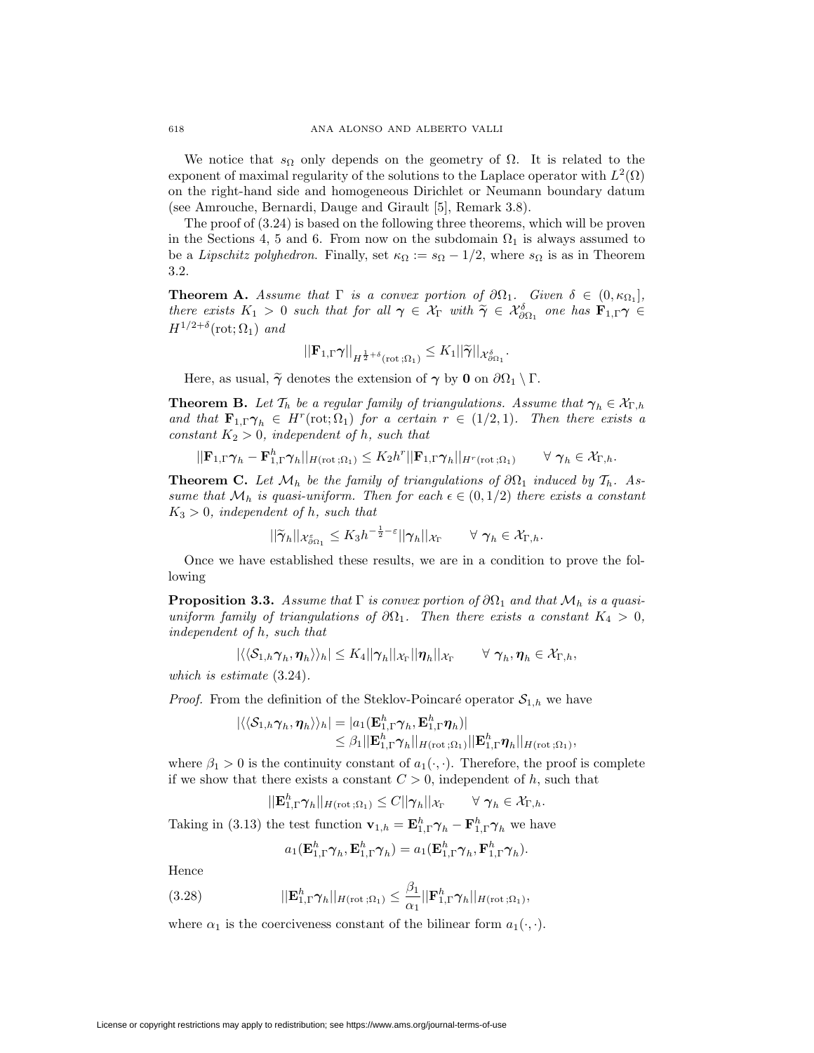We notice that  $s_{\Omega}$  only depends on the geometry of  $\Omega$ . It is related to the exponent of maximal regularity of the solutions to the Laplace operator with  $L^2(\Omega)$ on the right-hand side and homogeneous Dirichlet or Neumann boundary datum (see Amrouche, Bernardi, Dauge and Girault [5], Remark 3.8).

The proof of (3.24) is based on the following three theorems, which will be proven in the Sections 4, 5 and 6. From now on the subdomain  $\Omega_1$  is always assumed to be a *Lipschitz polyhedron*. Finally, set  $\kappa_{\Omega} := s_{\Omega} - 1/2$ , where  $s_{\Omega}$  is as in Theorem 3.2.

**Theorem A.** *Assume that*  $\Gamma$  *is a convex portion of*  $\partial\Omega_1$ *. Given*  $\delta \in (0, \kappa_{\Omega_1}]$ *, there exists*  $K_1 > 0$  *such that for all*  $\gamma \in \mathcal{X}_{\Gamma}$  *with*  $\widetilde{\gamma} \in \mathcal{X}_{\partial \Omega_1}^{\delta}$  *one has*  $\mathbf{F}_{1,\Gamma} \gamma \in \mathcal{F}_{1,\Gamma}^{1/2+\delta}(\Gamma_{\Gamma},\mathcal{O}_{\Gamma})$  $H^{1/2+\delta}(\text{rot};\Omega_1)$  *and* 

$$
||\mathbf{F}_{1,\Gamma}\gamma||_{H^{\frac{1}{2}+\delta}(\mathrm{rot}\,;\Omega_1)}\leq K_1||\widetilde{\gamma}||_{\mathcal{X}^{\delta}_{\partial\Omega_1}}.
$$

Here, as usual,  $\widetilde{\gamma}$  denotes the extension of  $\gamma$  by **0** on  $\partial\Omega_1 \setminus \Gamma$ .

**Theorem B.** Let  $\mathcal{T}_h$  be a regular family of triangulations. Assume that  $\gamma_h \in \mathcal{X}_{\Gamma,h}$ *and that*  $\mathbf{F}_{1,\Gamma}\gamma_h \in H^r(\text{rot}; \Omega_1)$  *for a certain*  $r \in (1/2, 1)$ *. Then there exists a constant*  $K_2 > 0$ *, independent of h, such that* 

$$
||\mathbf{F}_{1,\Gamma}\boldsymbol{\gamma}_h-\mathbf{F}^h_{1,\Gamma}\boldsymbol{\gamma}_h||_{H(\mathrm{rot}\,;\Omega_1)}\leq K_2h^r||\mathbf{F}_{1,\Gamma}\boldsymbol{\gamma}_h||_{H^r(\mathrm{rot}\,;\Omega_1)} \qquad\forall\,\,\boldsymbol{\gamma}_h\in\mathcal{X}_{\Gamma,h}.
$$

**Theorem C.** Let  $\mathcal{M}_h$  be the family of triangulations of  $\partial\Omega_1$  induced by  $\mathcal{T}_h$ . As*sume that*  $\mathcal{M}_h$  *is quasi-uniform. Then for each*  $\epsilon \in (0,1/2)$  *there exists a constant*  $K_3 > 0$ *, independent of h, such that* 

$$
||\widetilde{\gamma}_h||_{\mathcal{X}_{\partial\Omega_1}^{\varepsilon}} \leq K_3 h^{-\frac{1}{2}-\varepsilon}||\gamma_h||_{\mathcal{X}_{\Gamma}} \qquad \forall \ \gamma_h \in \mathcal{X}_{\Gamma,h}.
$$

Once we have established these results, we are in a condition to prove the following

**Proposition 3.3.** *Assume that*  $\Gamma$  *is convex portion of*  $\partial\Omega_1$  *and that*  $\mathcal{M}_h$  *is a quasiuniform family of triangulations of*  $\partial\Omega_1$ *. Then there exists a constant*  $K_4 > 0$ *, independent of h, such that*

$$
|\langle\langle \mathcal{S}_{1,h}\boldsymbol{\gamma}_h,\boldsymbol{\eta}_h\rangle\rangle_h|\leq K_4||\boldsymbol{\gamma}_h||_{\mathcal{X}_{\Gamma}}||\boldsymbol{\eta}_h||_{\mathcal{X}_{\Gamma}}\qquad\forall\,\,\boldsymbol{\gamma}_h,\boldsymbol{\eta}_h\in\mathcal{X}_{\Gamma,h},
$$

*which is estimate* (3*.*24)*.*

*Proof.* From the definition of the Steklov-Poincaré operator  $S_{1,h}$  we have

$$
\begin{aligned} |\langle\langle \mathcal{S}_{1,h}\gamma_h,\pmb{\eta}_h\rangle\rangle_h| &= |a_1(\mathbf{E}_{1,\Gamma}^h\gamma_h,\mathbf{E}_{1,\Gamma}^h\pmb{\eta}_h)|\\ &\leq \beta_1||\mathbf{E}_{1,\Gamma}^h\gamma_h||_{H(\mathrm{rot}\,;\Omega_1)}||\mathbf{E}_{1,\Gamma}^h\pmb{\eta}_h||_{H(\mathrm{rot}\,;\Omega_1)},\end{aligned}
$$

where  $\beta_1 > 0$  is the continuity constant of  $a_1(\cdot, \cdot)$ . Therefore, the proof is complete if we show that there exists a constant  $C > 0$ , independent of  $h$ , such that

$$
||\mathbf{E}_{1,\Gamma}^h \boldsymbol{\gamma}_h||_{H(\mathrm{rot}\,;\Omega_1)} \leq C||\boldsymbol{\gamma}_h||_{\mathcal{X}_{\Gamma}} \qquad \forall \ \boldsymbol{\gamma}_h \in \mathcal{X}_{\Gamma,h}.
$$

Taking in (3.13) the test function  $\mathbf{v}_{1,h} = \mathbf{E}_{1,\Gamma}^h \boldsymbol{\gamma}_h - \mathbf{F}_{1,\Gamma}^h \boldsymbol{\gamma}_h$  we have

$$
a_1(\mathbf{E}_{1,\Gamma}^h \boldsymbol{\gamma}_h, \mathbf{E}_{1,\Gamma}^h \boldsymbol{\gamma}_h) = a_1(\mathbf{E}_{1,\Gamma}^h \boldsymbol{\gamma}_h, \mathbf{F}_{1,\Gamma}^h \boldsymbol{\gamma}_h).
$$

Hence

(3.28) 
$$
||\mathbf{E}_{1,\Gamma}^h \boldsymbol{\gamma}_h||_{H(\mathrm{rot}\,;\Omega_1)} \leq \frac{\beta_1}{\alpha_1}||\mathbf{F}_{1,\Gamma}^h \boldsymbol{\gamma}_h||_{H(\mathrm{rot}\,;\Omega_1)},
$$

where  $\alpha_1$  is the coerciveness constant of the bilinear form  $a_1(\cdot, \cdot)$ .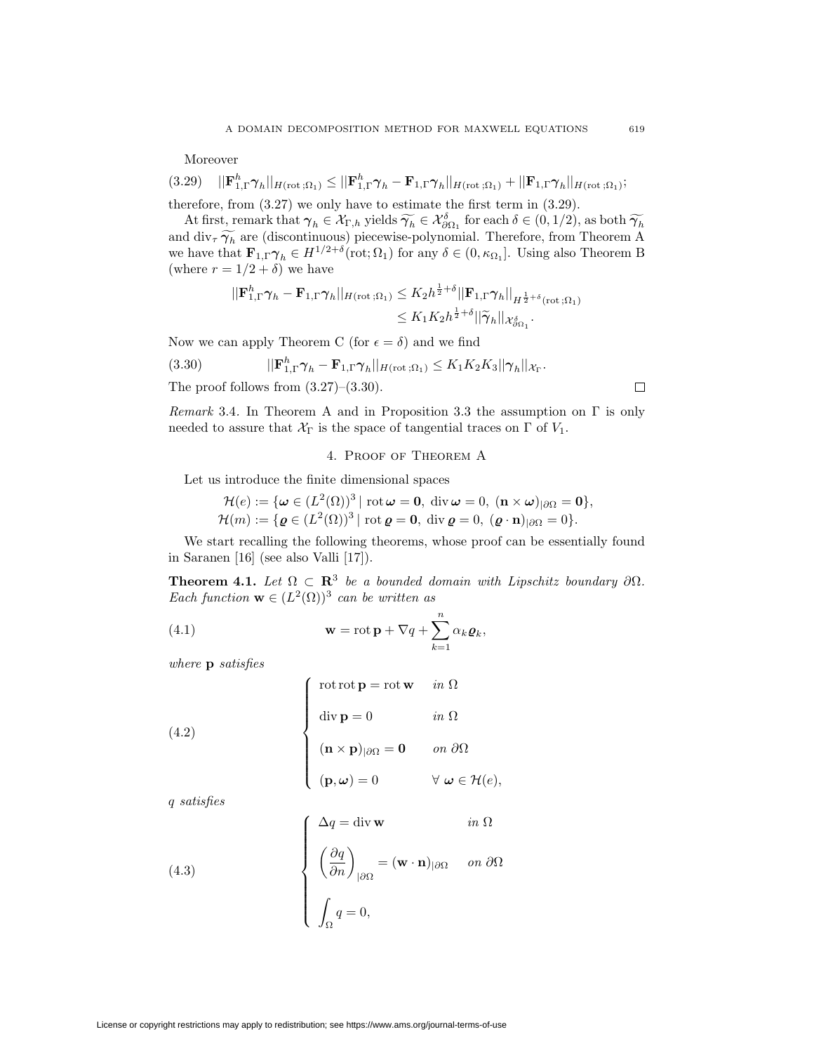Moreover

(3.29) 
$$
||\mathbf{F}_{1,\Gamma}^h \boldsymbol{\gamma}_h||_{H(\text{rot};\Omega_1)} \leq ||\mathbf{F}_{1,\Gamma}^h \boldsymbol{\gamma}_h - \mathbf{F}_{1,\Gamma} \boldsymbol{\gamma}_h||_{H(\text{rot};\Omega_1)} + ||\mathbf{F}_{1,\Gamma} \boldsymbol{\gamma}_h||_{H(\text{rot};\Omega_1)};
$$
 therefore, from (3.27) we only have to estimate the first term in (3.29).

At first, remark that  $\gamma_h \in \mathcal{X}_{\Gamma,h}$  yields  $\widetilde{\gamma_h} \in \mathcal{X}_{\Omega_1}^{\delta}$  for each  $\delta \in (0,1/2)$ , as both  $\widetilde{\gamma_h}$ <br>d div  $\widetilde{\gamma_{\Gamma}}$  are (discontinuous) piecewise polynomial. Therefore, from Theorem A and  $\text{div}_{\tau} \widetilde{\gamma}_h$  are (discontinuous) piecewise-polynomial. Therefore, from Theorem A we have that  $\mathbf{F}_{1,\Gamma} \gamma_h \in H^{1/2+\delta}(\text{rot}; \Omega_1)$  for any  $\delta \in (0, \kappa_{\Omega_1}]$ . Using also Theorem B (where  $r = 1/2 + \delta$ ) we have

$$
||\mathbf{F}_{1,\Gamma}^h \boldsymbol{\gamma}_h - \mathbf{F}_{1,\Gamma} \boldsymbol{\gamma}_h||_{H(\text{rot};\Omega_1)} \leq K_2 h^{\frac{1}{2}+\delta} ||\mathbf{F}_{1,\Gamma} \boldsymbol{\gamma}_h||_{H^{\frac{1}{2}+\delta}(\text{rot};\Omega_1)} \leq K_1 K_2 h^{\frac{1}{2}+\delta} ||\widetilde{\boldsymbol{\gamma}}_h||_{\mathcal{X}_{\partial \Omega_1}^{\delta}}.
$$

Now we can apply Theorem C (for  $\epsilon = \delta$ ) and we find

(3.30) 
$$
||\mathbf{F}_{1,\Gamma}^h \boldsymbol{\gamma}_h - \mathbf{F}_{1,\Gamma} \boldsymbol{\gamma}_h||_{H(\text{rot};\Omega_1)} \leq K_1 K_2 K_3 ||\boldsymbol{\gamma}_h||_{\mathcal{X}_{\Gamma}}.
$$

The proof follows from  $(3.27)$ – $(3.30)$ .

$$
\Box
$$

*Remark* 3.4*.* In Theorem A and in Proposition 3.3 the assumption on Γ is only needed to assure that  $\mathcal{X}_{\Gamma}$  is the space of tangential traces on  $\Gamma$  of  $V_1$ .

# 4. Proof of Theorem A

Let us introduce the finite dimensional spaces

$$
\mathcal{H}(e) := \{ \boldsymbol{\omega} \in (L^2(\Omega))^3 \mid \text{rot } \boldsymbol{\omega} = \mathbf{0}, \text{ div } \boldsymbol{\omega} = 0, (\mathbf{n} \times \boldsymbol{\omega})_{|\partial\Omega} = \mathbf{0} \},
$$
  

$$
\mathcal{H}(m) := \{ \boldsymbol{\varrho} \in (L^2(\Omega))^3 \mid \text{rot } \boldsymbol{\varrho} = \mathbf{0}, \text{ div } \boldsymbol{\varrho} = 0, (\boldsymbol{\varrho} \cdot \mathbf{n})_{|\partial\Omega} = 0 \}.
$$

We start recalling the following theorems, whose proof can be essentially found in Saranen [16] (see also Valli [17]).

**Theorem 4.1.** *Let*  $\Omega \subset \mathbb{R}^3$  *be a bounded domain with Lipschitz boundary*  $\partial \Omega$ *. Each function*  $\mathbf{w} \in (L^2(\Omega))^3$  *can be written as* 

(4.1) 
$$
\mathbf{w} = \operatorname{rot} \mathbf{p} + \nabla q + \sum_{k=1}^{n} \alpha_k \varrho_k,
$$

*where* **p** *satisfies*

(4.2)  

$$
\begin{cases}\n\text{rot rot } \mathbf{p} = \text{rot } \mathbf{w} & \text{in } \Omega \\
\text{div } \mathbf{p} = 0 & \text{in } \Omega \\
(\mathbf{n} \times \mathbf{p})_{|\partial\Omega} = \mathbf{0} & \text{on } \partial\Omega \\
(\mathbf{p}, \omega) = 0 & \forall \omega \in \mathcal{H}(e),\n\end{cases}
$$

*q satisfies*

(4.3)  

$$
\begin{cases}\n\Delta q = \text{div } \mathbf{w} & \text{in } \Omega \\
\left(\frac{\partial q}{\partial n}\right)_{|\partial\Omega} = (\mathbf{w} \cdot \mathbf{n})_{|\partial\Omega} & \text{on } \partial\Omega \\
\int_{\Omega} q = 0,\n\end{cases}
$$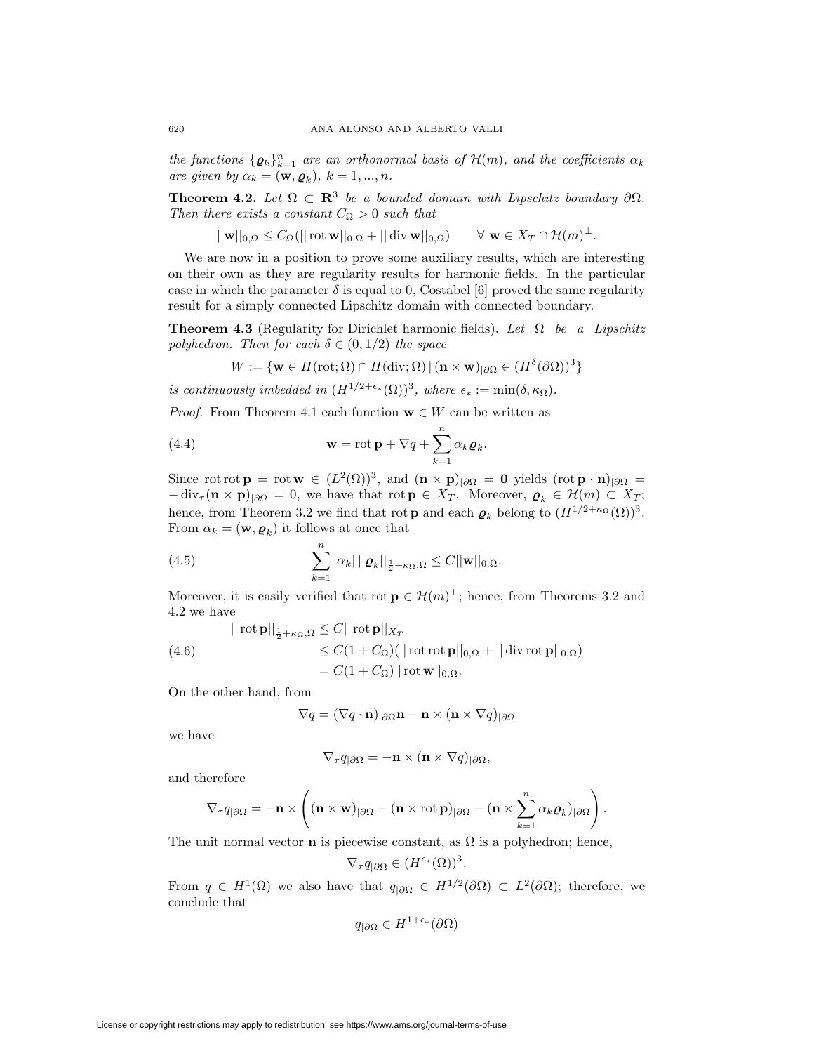*the functions*  $\{\boldsymbol{\varrho}_k\}_{k=1}^n$  *are an orthonormal basis of*  $\mathcal{H}(m)$ *, and the coefficients*  $\alpha_k$ *are given by*  $\alpha_k = (\mathbf{w}, \mathbf{\varrho}_k)$ ,  $k = 1, ..., n$ .

**Theorem 4.2.** *Let*  $\Omega \subset \mathbb{R}^3$  *be a bounded domain with Lipschitz boundary*  $\partial \Omega$ *. Then there exists a constant*  $C_{\Omega} > 0$  *such that* 

 $||\mathbf{w}||_{0,\Omega} \leq C_{\Omega} (||\cot \mathbf{w}||_{0,\Omega} + ||\dim \mathbf{w}||_{0,\Omega}) \qquad \forall \mathbf{w} \in X_T \cap \mathcal{H}(m)^{\perp}.$ 

We are now in a position to prove some auxiliary results, which are interesting on their own as they are regularity results for harmonic fields. In the particular case in which the parameter  $\delta$  is equal to 0, Costabel [6] proved the same regularity result for a simply connected Lipschitz domain with connected boundary.

**Theorem 4.3** (Regularity for Dirichlet harmonic fields)**.** *Let* Ω *be a Lipschitz polyhedron. Then for each*  $\delta \in (0, 1/2)$  *the space* 

$$
W := \{ \mathbf{w} \in H(\text{rot}; \Omega) \cap H(\text{div}; \Omega) \, | \, (\mathbf{n} \times \mathbf{w})_{|\partial \Omega} \in (H^{\delta}(\partial \Omega))^3 \}
$$

*is continuously imbedded in*  $(H^{1/2+\epsilon_*}(\Omega))^3$ *, where*  $\epsilon_* := \min(\delta, \kappa_\Omega)$ *.* 

*Proof.* From Theorem 4.1 each function  $\mathbf{w} \in W$  can be written as

(4.4) 
$$
\mathbf{w} = \operatorname{rot} \mathbf{p} + \nabla q + \sum_{k=1}^{n} \alpha_k \varrho_k.
$$

Since rot rot  $\mathbf{p} = \text{rot } \mathbf{w} \in (L^2(\Omega))^3$ , and  $(\mathbf{n} \times \mathbf{p})_{|\partial\Omega} = \mathbf{0}$  yields  $(\text{rot } \mathbf{p} \cdot \mathbf{n})_{|\partial\Omega} =$  $-\text{div}_{\tau}(\mathbf{n} \times \mathbf{p})_{|\partial\Omega} = 0$ , we have that rot  $\mathbf{p} \in X_T$ . Moreover,  $\varrho_k \in \mathcal{H}(m) \subset X_T$ ; hence, from Theorem 3.2 we find that rot **p** and each  $\boldsymbol{\varrho}_k$  belong to  $(H^{1/2+\kappa\Omega}(\Omega))^3$ . From  $\alpha_k = (\mathbf{w}, \rho_k)$  it follows at once that

(4.5) 
$$
\sum_{k=1}^n |\alpha_k| ||\boldsymbol{\varrho}_k||_{\frac{1}{2}+\kappa_{\Omega,\Omega}} \leq C ||\mathbf{w}||_{0,\Omega}.
$$

Moreover, it is easily verified that rot  $\mathbf{p} \in \mathcal{H}(m)^{\perp}$ ; hence, from Theorems 3.2 and 4.2 we have

(4.6)  
\n
$$
\| \operatorname{rot} \mathbf{p} \|_{\frac{1}{2} + \kappa_{\Omega}, \Omega} \leq C \| \operatorname{rot} \mathbf{p} \|_{X_T}
$$
\n
$$
\leq C(1 + C_{\Omega}) (\|\operatorname{rot} \operatorname{rot} \mathbf{p} \|_{0, \Omega} + \|\operatorname{div} \operatorname{rot} \mathbf{p} \|_{0, \Omega})
$$
\n
$$
= C(1 + C_{\Omega}) \|\operatorname{rot} \mathbf{w} \|_{0, \Omega}.
$$

On the other hand, from

$$
\nabla q = (\nabla q \cdot \mathbf{n})_{|\partial \Omega} \mathbf{n} - \mathbf{n} \times (\mathbf{n} \times \nabla q)_{|\partial \Omega}
$$

we have

$$
\nabla_{\tau} q_{|\partial\Omega} = -\mathbf{n} \times (\mathbf{n} \times \nabla q)_{|\partial\Omega},
$$

and therefore

$$
\nabla_{\tau} q_{|\partial\Omega} = -\mathbf{n} \times \left( (\mathbf{n} \times \mathbf{w})_{|\partial\Omega} - (\mathbf{n} \times \operatorname{rot} \mathbf{p})_{|\partial\Omega} - (\mathbf{n} \times \sum_{k=1}^n \alpha_k \varrho_k)_{|\partial\Omega} \right).
$$

The unit normal vector **n** is piecewise constant, as  $\Omega$  is a polyhedron; hence,

$$
\nabla_{\tau} q_{|\partial\Omega} \in (H^{\epsilon_*}(\Omega))^3.
$$

From  $q \in H^1(\Omega)$  we also have that  $q_{|\partial\Omega} \in H^{1/2}(\partial\Omega) \subset L^2(\partial\Omega)$ ; therefore, we conclude that

$$
q_{|\partial\Omega} \in H^{1+\epsilon_*}(\partial\Omega)
$$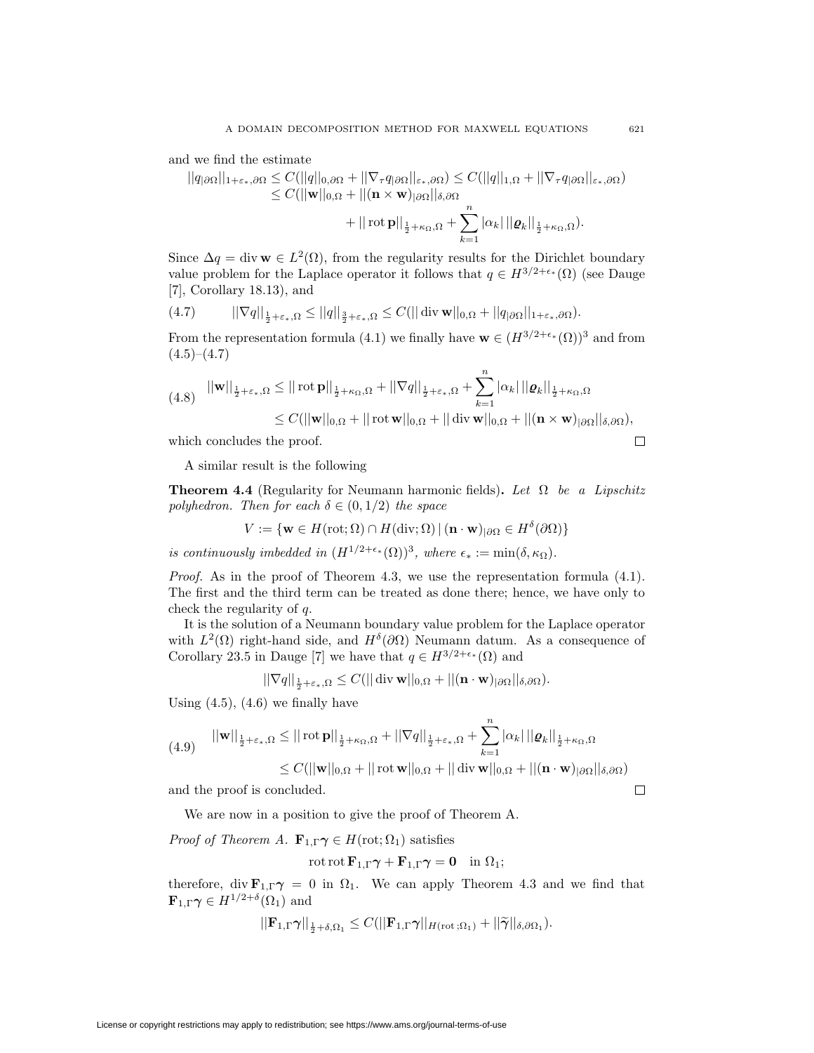and we find the estimate

$$
||q_{|\partial\Omega}||_{1+\varepsilon_*,\partial\Omega} \leq C(||q||_{0,\partial\Omega} + ||\nabla_{\tau}q_{|\partial\Omega}||_{\varepsilon_*,\partial\Omega}) \leq C(||q||_{1,\Omega} + ||\nabla_{\tau}q_{|\partial\Omega}||_{\varepsilon_*,\partial\Omega})
$$
  

$$
\leq C(||\mathbf{w}||_{0,\Omega} + ||(\mathbf{n} \times \mathbf{w})_{|\partial\Omega}||_{\delta,\partial\Omega}
$$
  

$$
+ ||\operatorname{rot}\mathbf{p}||_{\frac{1}{2}+\kappa_{\Omega},\Omega} + \sum_{k=1}^{n} |\alpha_k| ||\varrho_k||_{\frac{1}{2}+\kappa_{\Omega},\Omega}).
$$

Since  $\Delta q = \text{div } \mathbf{w} \in L^2(\Omega)$ , from the regularity results for the Dirichlet boundary value problem for the Laplace operator it follows that  $q \in H^{3/2+\epsilon_*}(\Omega)$  (see Dauge [7], Corollary 18.13), and

(4.7) 
$$
||\nabla q||_{\frac{1}{2}+\varepsilon_*,\Omega} \leq ||q||_{\frac{3}{2}+\varepsilon_*,\Omega} \leq C(||\operatorname{div} \mathbf{w}||_{0,\Omega} + ||q_{|\partial\Omega}||_{1+\varepsilon_*,\partial\Omega}).
$$

From the representation formula (4.1) we finally have  $\mathbf{w} \in (H^{3/2+\epsilon_*}(\Omega))^3$  and from  $(4.5)–(4.7)$ 

$$
(4.8) \quad ||\mathbf{w}||_{\frac{1}{2}+\varepsilon_*,\Omega} \leq ||\operatorname{rot} \mathbf{p}||_{\frac{1}{2}+\kappa_{\Omega},\Omega} + ||\nabla q||_{\frac{1}{2}+\varepsilon_*,\Omega} + \sum_{k=1}^n |\alpha_k| ||\mathbf{q}_k||_{\frac{1}{2}+\kappa_{\Omega},\Omega}
$$
  
\n
$$
\leq C(||\mathbf{w}||_{0,\Omega} + ||\operatorname{rot} \mathbf{w}||_{0,\Omega} + ||\operatorname{div} \mathbf{w}||_{0,\Omega} + ||(\mathbf{n} \times \mathbf{w})_{|\partial\Omega}||_{\delta,\partial\Omega}),
$$
  
\nwhich concludes the proof.

which concludes the proof.

A similar result is the following

**Theorem 4.4** (Regularity for Neumann harmonic fields)**.** *Let* Ω *be a Lipschitz polyhedron. Then for each*  $\delta \in (0, 1/2)$  *the space* 

$$
V := \{ \mathbf{w} \in H(\text{rot}; \Omega) \cap H(\text{div}; \Omega) \, | \, (\mathbf{n} \cdot \mathbf{w})_{|\partial\Omega} \in H^{\delta}(\partial\Omega) \}
$$

*is continuously imbedded in*  $(H^{1/2+\epsilon_*}(\Omega))^3$ *, where*  $\epsilon_* := \min(\delta, \kappa_{\Omega})$ *.* 

*Proof.* As in the proof of Theorem 4.3, we use the representation formula  $(4.1)$ . The first and the third term can be treated as done there; hence, we have only to check the regularity of *q*.

It is the solution of a Neumann boundary value problem for the Laplace operator with  $L^2(\Omega)$  right-hand side, and  $H^{\delta}(\partial\Omega)$  Neumann datum. As a consequence of Corollary 23.5 in Dauge [7] we have that  $q \in H^{3/2+\epsilon_*}(\Omega)$  and

 $||\nabla q||_{\frac{1}{2}+\varepsilon_*,\Omega} \leq C(||\operatorname{div} \mathbf{w}||_{0,\Omega} + ||(\mathbf{n} \cdot \mathbf{w})_{|\partial\Omega}||_{\delta,\partial\Omega}).$ 

Using  $(4.5)$ ,  $(4.6)$  we finally have

$$
(4.9) \quad ||\mathbf{w}||_{\frac{1}{2}+\varepsilon_*,\Omega} \leq ||\operatorname{rot} \mathbf{p}||_{\frac{1}{2}+\kappa_{\Omega},\Omega} + ||\nabla q||_{\frac{1}{2}+\varepsilon_*,\Omega} + \sum_{k=1}^n |\alpha_k| ||\varrho_k||_{\frac{1}{2}+\kappa_{\Omega},\Omega}
$$
  

$$
\leq C(||\mathbf{w}||_{0,\Omega} + ||\operatorname{rot} \mathbf{w}||_{0,\Omega} + ||\operatorname{div} \mathbf{w}||_{0,\Omega} + ||(\mathbf{n} \cdot \mathbf{w})_{|\partial\Omega}||_{\delta,\partial\Omega})
$$

and the proof is concluded.

We are now in a position to give the proof of Theorem A.

*Proof of Theorem A.*  $\mathbf{F}_{1,\Gamma} \gamma \in H(\text{rot}; \Omega_1)$  satisfies

$$
\operatorname{rot}\operatorname{rot}\mathbf{F}_{1,\Gamma}\boldsymbol{\gamma} + \mathbf{F}_{1,\Gamma}\boldsymbol{\gamma} = \mathbf{0} \quad \text{in } \Omega_1;
$$

therefore, div  $\mathbf{F}_{1,\Gamma}\gamma = 0$  in  $\Omega_1$ . We can apply Theorem 4.3 and we find that  $\mathbf{F}_{1,\Gamma}\gamma \in H^{1/2+\delta}(\Omega_1)$  and

$$
||\mathbf{F}_{1,\Gamma}\boldsymbol{\gamma}||_{\frac{1}{2}+\delta,\Omega_1} \leq C(||\mathbf{F}_{1,\Gamma}\boldsymbol{\gamma}||_{H(\mathrm{rot};\Omega_1)} + ||\widetilde{\boldsymbol{\gamma}}||_{\delta,\partial\Omega_1}).
$$

 $\Box$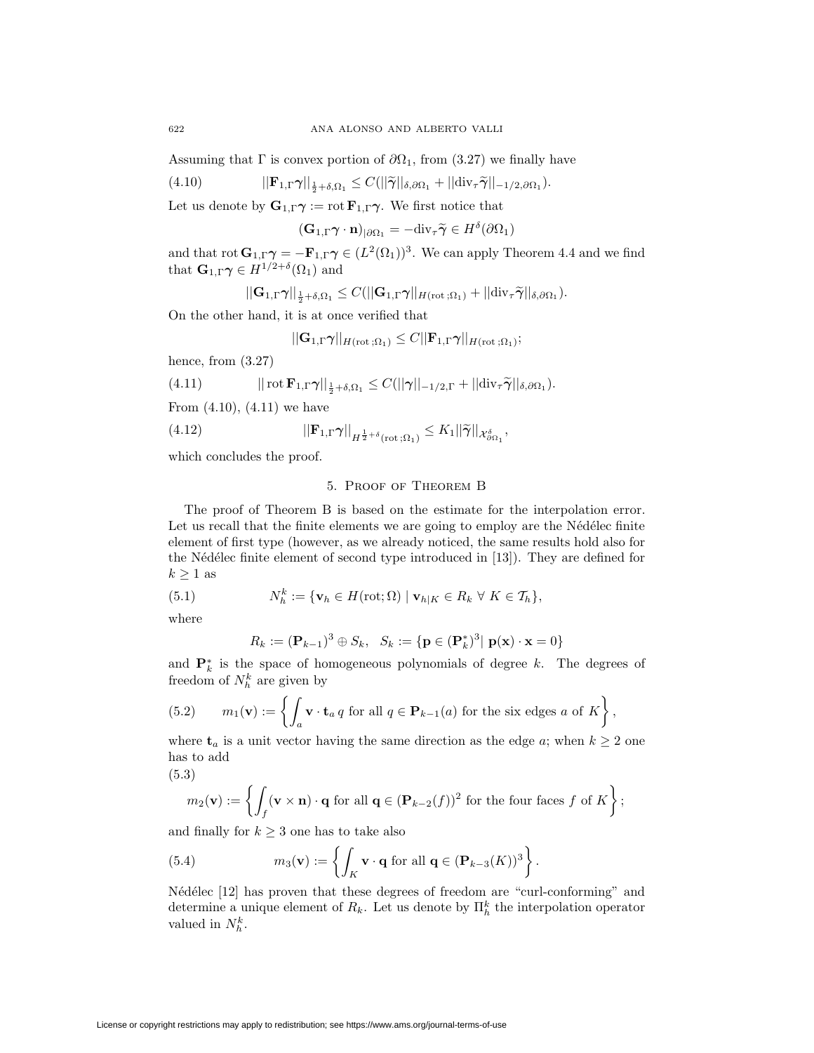Assuming that  $\Gamma$  is convex portion of  $\partial\Omega_1$ , from (3.27) we finally have

(4.10) 
$$
||\mathbf{F}_{1,\Gamma}\boldsymbol{\gamma}||_{\frac{1}{2}+\delta,\Omega_1} \leq C(||\widetilde{\boldsymbol{\gamma}}||_{\delta,\partial\Omega_1}+||\mathrm{div}_{\tau}\widetilde{\boldsymbol{\gamma}}||_{-1/2,\partial\Omega_1}).
$$

Let us denote by  $\mathbf{G}_{1,\Gamma}\gamma := \text{rot } \mathbf{F}_{1,\Gamma}\gamma$ . We first notice that

 $(\mathbf{G}_{1,\Gamma}\boldsymbol{\gamma}\cdot\mathbf{n})_{|\partial\Omega_1} = -\text{div}_{\tau}\widetilde{\boldsymbol{\gamma}} \in H^{\delta}(\partial\Omega_1)$ 

and that  $\text{rot } G_{1,\Gamma} \gamma = -\mathbf{F}_{1,\Gamma} \gamma \in (L^2(\Omega_1))^3$ . We can apply Theorem 4.4 and we find that  $\mathbf{G}_{1,\Gamma}\gamma \in H^{1/2+\delta}(\Omega_1)$  and

$$
||\mathbf{G}_{1,\Gamma}\boldsymbol{\gamma}||_{\frac{1}{2}+\delta,\Omega_1}\leq C(||\mathbf{G}_{1,\Gamma}\boldsymbol{\gamma}||_{H(\mathrm{rot}\,;\Omega_1)}+||\mathrm{div}_{\tau}\widetilde{\boldsymbol{\gamma}}||_{\delta,\partial\Omega_1}).
$$

On the other hand, it is at once verified that

$$
||\mathbf{G}_{1,\Gamma}\pmb{\gamma}||_{H(\mathrm{rot}\,;\Omega_1)} \leq C||\mathbf{F}_{1,\Gamma}\pmb{\gamma}||_{H(\mathrm{rot}\,;\Omega_1)};
$$

hence, from (3.27)

(4.11) 
$$
|| \operatorname{rot} \mathbf{F}_{1,\Gamma} \boldsymbol{\gamma} ||_{\frac{1}{2} + \delta,\Omega_1} \leq C(||\boldsymbol{\gamma}||_{-1/2,\Gamma} + ||\operatorname{div}_{\tau} \widetilde{\boldsymbol{\gamma}}||_{\delta,\partial\Omega_1}).
$$

From  $(4.10)$ ,  $(4.11)$  we have

(4.12) 
$$
||\mathbf{F}_{1,\Gamma}\boldsymbol{\gamma}||_{H^{\frac{1}{2}+\delta}(\text{rot};\Omega_1)} \leq K_1 ||\widetilde{\boldsymbol{\gamma}}||_{\mathcal{X}_{\partial\Omega_1}^{\delta}},
$$

which concludes the proof.

# 5. Proof of Theorem B

The proof of Theorem B is based on the estimate for the interpolation error. Let us recall that the finite elements we are going to employ are the Nédélec finite element of first type (however, as we already noticed, the same results hold also for the Nédélec finite element of second type introduced in [13]). They are defined for  $k \geq 1$  as

(5.1) 
$$
N_h^k := \{ \mathbf{v}_h \in H(\text{rot}; \Omega) \mid \mathbf{v}_{h|K} \in R_k \ \forall \ K \in \mathcal{T}_h \},
$$

where

$$
R_k := (\mathbf{P}_{k-1})^3 \oplus S_k, \quad S_k := \{ \mathbf{p} \in (\mathbf{P}_k^*)^3 | \mathbf{p}(\mathbf{x}) \cdot \mathbf{x} = 0 \}
$$

and  $\mathbf{P}_k^*$  is the space of homogeneous polynomials of degree *k*. The degrees of freedom of  $N_h^k$  are given by

(5.2) 
$$
m_1(\mathbf{v}) := \left\{ \int_a \mathbf{v} \cdot \mathbf{t}_a q \text{ for all } q \in \mathbf{P}_{k-1}(a) \text{ for the six edges } a \text{ of } K \right\},
$$

where  $\mathbf{t}_a$  is a unit vector having the same direction as the edge *a*; when  $k \geq 2$  one has to add

(5.3)

$$
m_2(\mathbf{v}) := \left\{ \int_f (\mathbf{v} \times \mathbf{n}) \cdot \mathbf{q} \text{ for all } \mathbf{q} \in (\mathbf{P}_{k-2}(f))^2 \text{ for the four faces } f \text{ of } K \right\};
$$

and finally for  $k \geq 3$  one has to take also

(5.4) 
$$
m_3(\mathbf{v}) := \left\{ \int_K \mathbf{v} \cdot \mathbf{q} \text{ for all } \mathbf{q} \in (\mathbf{P}_{k-3}(K))^3 \right\}.
$$

Nédélec [12] has proven that these degrees of freedom are "curl-conforming" and determine a unique element of  $R_k$ . Let us denote by  $\prod_h^k$  the interpolation operator valued in  $N_h^k$ .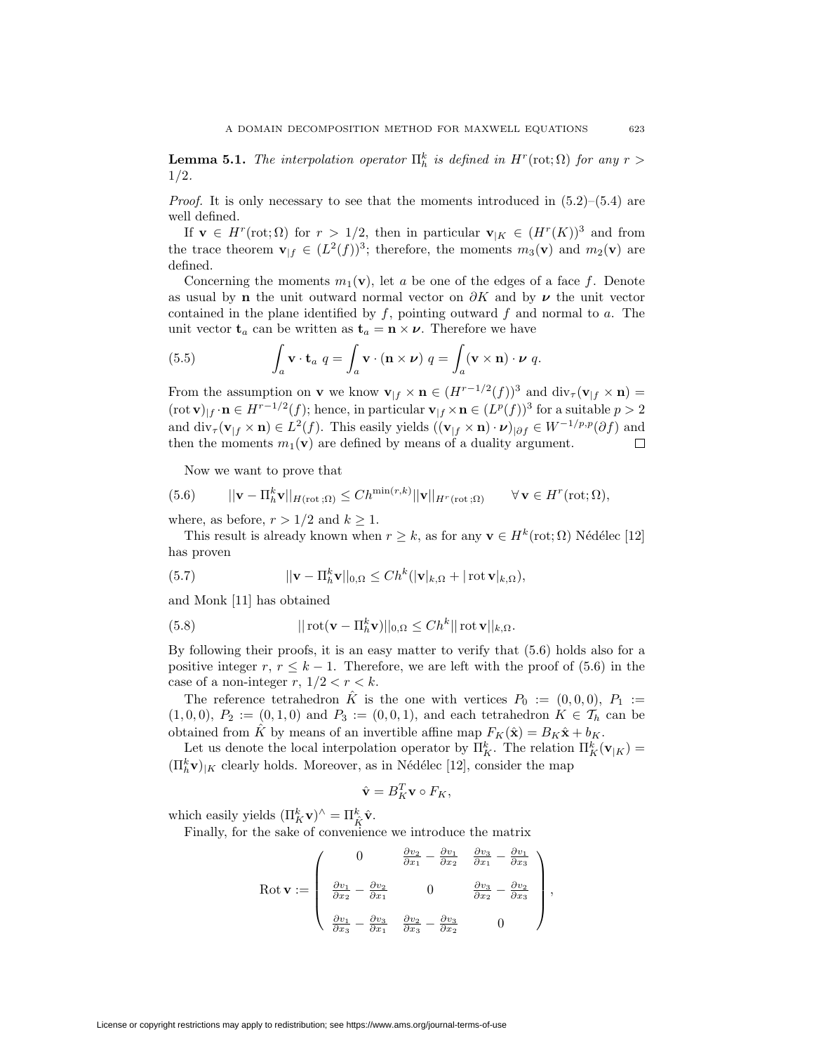**Lemma 5.1.** *The interpolation operator*  $\Pi_h^k$  *is defined in*  $H^r(\text{rot}; \Omega)$  *for any*  $r >$ 1*/*2*.*

*Proof.* It is only necessary to see that the moments introduced in  $(5.2)$ – $(5.4)$  are well defined.

If **v**  $\in$  *H<sup>r</sup>*(rot;  $\Omega$ ) for  $r > 1/2$ , then in particular **v**<sub>|*K*</sub>  $\in$   $(H<sup>r</sup>(K))$ <sup>3</sup> and from the trace theorem  $\mathbf{v}_{|f} \in (L^2(f))^3$ ; therefore, the moments  $m_3(\mathbf{v})$  and  $m_2(\mathbf{v})$  are defined.

Concerning the moments  $m_1(\mathbf{v})$ , let *a* be one of the edges of a face *f*. Denote as usual by **n** the unit outward normal vector on  $\partial K$  and by  $\nu$  the unit vector contained in the plane identified by *f*, pointing outward *f* and normal to *a*. The unit vector  $\mathbf{t}_a$  can be written as  $\mathbf{t}_a = \mathbf{n} \times \boldsymbol{\nu}$ . Therefore we have

(5.5) 
$$
\int_a \mathbf{v} \cdot \mathbf{t}_a \ q = \int_a \mathbf{v} \cdot (\mathbf{n} \times \boldsymbol{\nu}) \ q = \int_a (\mathbf{v} \times \mathbf{n}) \cdot \boldsymbol{\nu} \ q.
$$

From the assumption on **v** we know  $\mathbf{v}_{|f} \times \mathbf{n} \in (H^{r-1/2}(f))^3$  and  $\text{div}_{\tau}(\mathbf{v}_{|f} \times \mathbf{n}) =$  $(\text{rot } \mathbf{v})_{|f} \cdot \mathbf{n} \in H^{r-1/2}(f);$  hence, in particular  $\mathbf{v}_{|f} \times \mathbf{n} \in (L^p(f))^3$  for a suitable  $p > 2$ and  $\text{div}_{\tau}(\mathbf{v}_{|f} \times \mathbf{n}) \in L^2(f)$ . This easily yields  $((\mathbf{v}_{|f} \times \mathbf{n}) \cdot \mathbf{\nu})_{|\partial f} \in W^{-1/p,p}(\partial f)$  and then the moments  $m_1(\mathbf{v})$  are defined by means of a duality argument. then the moments  $m_1(\mathbf{v})$  are defined by means of a duality argument.

Now we want to prove that

(5.6) 
$$
||\mathbf{v} - \Pi_h^k \mathbf{v}||_{H(\text{rot};\Omega)} \leq Ch^{\min(r,k)} ||\mathbf{v}||_{H^r(\text{rot};\Omega)} \qquad \forall \mathbf{v} \in H^r(\text{rot};\Omega),
$$

where, as before,  $r > 1/2$  and  $k \geq 1$ .

This result is already known when  $r > k$ , as for any  $\mathbf{v} \in H^k(\text{rot}; \Omega)$  Nédélec [12] has proven

(5.7) 
$$
||\mathbf{v} - \Pi_h^k \mathbf{v}||_{0,\Omega} \le Ch^k(|\mathbf{v}|_{k,\Omega} + |\operatorname{rot} \mathbf{v}|_{k,\Omega}),
$$

and Monk [11] has obtained

(5.8) 
$$
|| \operatorname{rot}(\mathbf{v} - \Pi_h^k \mathbf{v}) ||_{0,\Omega} \leq Ch^k || \operatorname{rot} \mathbf{v} ||_{k,\Omega}.
$$

By following their proofs, it is an easy matter to verify that (5.6) holds also for a positive integer *r*,  $r \leq k - 1$ . Therefore, we are left with the proof of (5.6) in the case of a non-integer  $r$ ,  $1/2 < r < k$ .

The reference tetrahedron  $\hat{K}$  is the one with vertices  $P_0 := (0,0,0), P_1 :=$  $(1,0,0), P_2 := (0,1,0)$  and  $P_3 := (0,0,1)$ , and each tetrahedron  $K \in \mathcal{T}_h$  can be obtained from  $\hat{K}$  by means of an invertible affine map  $F_K(\hat{\mathbf{x}}) = B_K \hat{\mathbf{x}} + b_K$ .

Let us denote the local interpolation operator by  $\Pi_K^k$ . The relation  $\Pi_K^k(\mathbf{v}_{|K}) =$  $(\prod_{h}^{k} \mathbf{v})_{|K}$  clearly holds. Moreover, as in Nédélec [12], consider the map

$$
\hat{\mathbf{v}} = B_K^T \mathbf{v} \circ F_K,
$$

which easily yields  $(\Pi_K^k \mathbf{v})^{\wedge} = \Pi_K^k \hat{\mathbf{v}}.$ 

Finally, for the sake of convenience we introduce the matrix

$$
\text{Rot } \mathbf{v} := \begin{pmatrix} 0 & \frac{\partial v_2}{\partial x_1} - \frac{\partial v_1}{\partial x_2} & \frac{\partial v_3}{\partial x_1} - \frac{\partial v_1}{\partial x_3} \\ \frac{\partial v_1}{\partial x_2} - \frac{\partial v_2}{\partial x_1} & 0 & \frac{\partial v_3}{\partial x_2} - \frac{\partial v_2}{\partial x_3} \\ \frac{\partial v_1}{\partial x_3} - \frac{\partial v_3}{\partial x_1} & \frac{\partial v_2}{\partial x_3} - \frac{\partial v_3}{\partial x_2} & 0 \end{pmatrix},
$$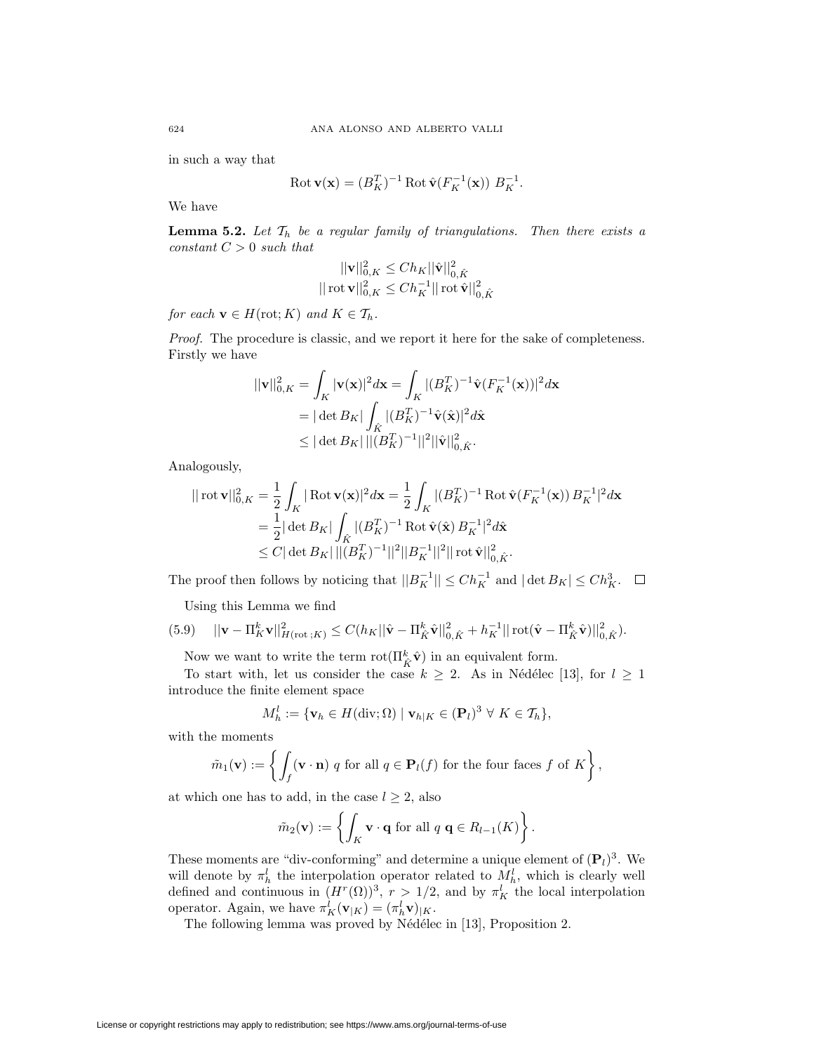in such a way that

$$
\text{Rot}\,\mathbf{v}(\mathbf{x}) = (B_K^T)^{-1} \,\text{Rot}\,\hat{\mathbf{v}}(F_K^{-1}(\mathbf{x}))\ B_K^{-1}.
$$

We have

**Lemma 5.2.** Let  $\mathcal{T}_h$  be a regular family of triangulations. Then there exists a *constant C >* 0 *such that*

$$
\begin{aligned} ||{\bf v}||_{0,K}^2 \leq C h_K ||\hat{\bf v}||_{0,\hat{K}}^2 \\ ||\operatorname{rot} {\bf v}||_{0,K}^2 \leq C h_K^{-1} ||\operatorname{rot} \hat{\bf v}||_{0,\hat{K}}^2 \end{aligned}
$$

*for each*  $\mathbf{v} \in H(\text{rot}; K)$  *and*  $K \in \mathcal{T}_h$ *.* 

*Proof.* The procedure is classic, and we report it here for the sake of completeness. Firstly we have

$$
\begin{aligned} ||\mathbf{v}||_{0,K}^2 &= \int_K |\mathbf{v}(\mathbf{x})|^2 d\mathbf{x} = \int_K |(B_K^T)^{-1} \hat{\mathbf{v}}(F_K^{-1}(\mathbf{x}))|^2 d\mathbf{x} \\ &= |\det B_K| \int_K |(B_K^T)^{-1} \hat{\mathbf{v}}(\hat{\mathbf{x}})|^2 d\hat{\mathbf{x}} \\ &\le |\det B_K| \left| |(B_K^T)^{-1}||^2 ||\hat{\mathbf{v}}||_{0,\hat{K}}^2. \end{aligned}
$$

Analogously,

$$
\begin{split} ||\cot\mathbf{v}||_{0,K}^2 &= \frac{1}{2} \int_K |\operatorname{Rot}\mathbf{v}(\mathbf{x})|^2 d\mathbf{x} = \frac{1}{2} \int_K |(B_K^T)^{-1} \operatorname{Rot}\hat{\mathbf{v}}(F_K^{-1}(\mathbf{x})) B_K^{-1}|^2 d\mathbf{x} \\ &= \frac{1}{2} |\det B_K| \int_{\hat{K}} |(B_K^T)^{-1} \operatorname{Rot}\hat{\mathbf{v}}(\hat{\mathbf{x}}) B_K^{-1}|^2 d\hat{\mathbf{x}} \\ &\leq C |\det B_K| \, ||(B_K^T)^{-1}||^2 ||B_K^{-1}||^2 ||\operatorname{rot}\hat{\mathbf{v}}||_{0,\hat{K}}^2. \end{split}
$$

The proof then follows by noticing that  $||B_K^{-1}|| \leq Ch_K^{-1}$  and  $|\det B_K| \leq Ch_K^3$ .

Using this Lemma we find

$$
(5.9) \t ||\mathbf{v} - \Pi_K^k \mathbf{v}||_{H(\text{rot};K)}^2 \leq C(h_K ||\hat{\mathbf{v}} - \Pi_{\hat{K}}^k \hat{\mathbf{v}}||_{0,\hat{K}}^2 + h_K^{-1} ||\operatorname{rot}(\hat{\mathbf{v}} - \Pi_{\hat{K}}^k \hat{\mathbf{v}})||_{0,\hat{K}}^2).
$$

Now we want to write the term  $\text{rot}(\Pi^k_{\hat{K}}\hat{\mathbf{v}})$  in an equivalent form.

To start with, let us consider the case  $k \geq 2$ . As in Nédélec [13], for  $l \geq 1$ introduce the finite element space

$$
M_h^l := \{ \mathbf{v}_h \in H(\text{div}; \Omega) \mid \mathbf{v}_{h|K} \in (\mathbf{P}_l)^3 \ \forall \ K \in \mathcal{T}_h \},
$$

with the moments

$$
\tilde{m}_1(\mathbf{v}) := \left\{ \int_f (\mathbf{v} \cdot \mathbf{n}) \ q \text{ for all } q \in \mathbf{P}_l(f) \text{ for the four faces } f \text{ of } K \right\},\
$$

at which one has to add, in the case  $l \geq 2$ , also

$$
\tilde{m}_2(\mathbf{v}) := \left\{ \int_K \mathbf{v} \cdot \mathbf{q} \text{ for all } q \mathbf{q} \in R_{l-1}(K) \right\}.
$$

These moments are "div-conforming" and determine a unique element of  $(P_l)^3$ . We will denote by  $\pi_h^l$  the interpolation operator related to  $M_h^l$ , which is clearly well defined and continuous in  $(H^r(\Omega))^3$ ,  $r > 1/2$ , and by  $\pi_K^l$  the local interpolation operator. Again, we have  $\pi_K^l(\mathbf{v}_{|K}) = (\pi_h^l \mathbf{v})_{|K}$ .

The following lemma was proved by Nédélec in [13], Proposition 2.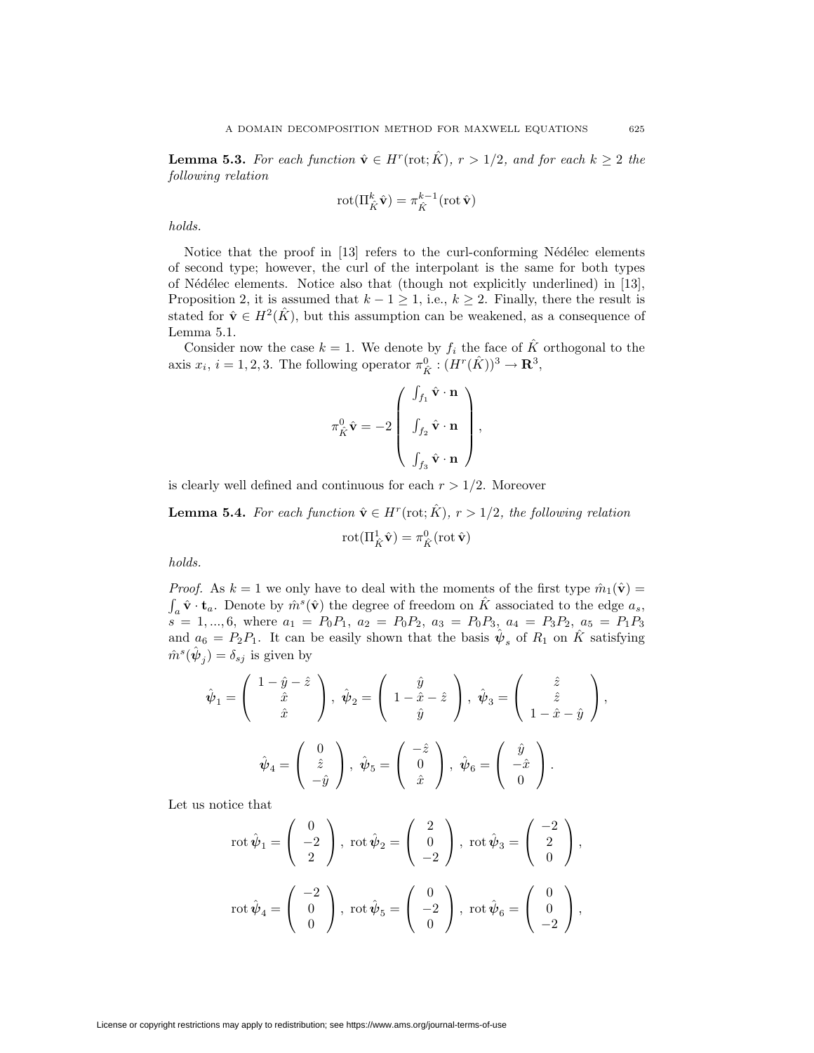**Lemma 5.3.** For each function  $\hat{\mathbf{v}} \in H^r(\text{rot}; \hat{K})$ ,  $r > 1/2$ , and for each  $k \geq 2$  the *following relation*

$$
\mathrm{rot}(\Pi^k_{\hat{K}}\hat{\mathbf{v}}) = \pi^{k-1}_{\hat{K}}(\mathrm{rot}\,\hat{\mathbf{v}})
$$

*holds.*

Notice that the proof in  $[13]$  refers to the curl-conforming Nédélec elements of second type; however, the curl of the interpolant is the same for both types of N´ed´elec elements. Notice also that (though not explicitly underlined) in [13], Proposition 2, it is assumed that  $k-1 \geq 1$ , i.e.,  $k \geq 2$ . Finally, there the result is stated for  $\hat{\mathbf{v}} \in H^2(\hat{K})$ , but this assumption can be weakened, as a consequence of Lemma 5.1.

Consider now the case  $k = 1$ . We denote by  $f_i$  the face of  $\hat{K}$  orthogonal to the axis  $x_i$ ,  $i = 1, 2, 3$ . The following operator  $\pi^0_{\hat{K}} : (H^r(\hat{K}))^3 \to \mathbb{R}^3$ ,

$$
\pi_{\hat{K}}^0 \hat{\mathbf{v}} = -2 \begin{pmatrix} \int_{f_1} \hat{\mathbf{v}} \cdot \mathbf{n} \\ \int_{f_2} \hat{\mathbf{v}} \cdot \mathbf{n} \\ \vdots \\ \int_{f_3} \hat{\mathbf{v}} \cdot \mathbf{n} \end{pmatrix},
$$

is clearly well defined and continuous for each  $r > 1/2$ . Moreover

**Lemma 5.4.** For each function  $\hat{\mathbf{v}} \in H^r(\text{rot}; \hat{K})$ ,  $r > 1/2$ , the following relation

$$
\mathrm{rot}(\Pi^1_{\hat{K}}\hat{\mathbf{v}})=\pi^0_{\hat{K}}(\mathrm{rot}\,\hat{\mathbf{v}})
$$

*holds.*

*Proof.* As  $k = 1$  we only have to deal with the moments of the first type  $\hat{m}_1(\hat{v}) =$  $\int_a \hat{\mathbf{v}} \cdot \mathbf{t}_a$ . Denote by  $\hat{m}^s(\hat{\mathbf{v}})$  the degree of freedom on  $\hat{K}$  associated to the edge  $a_s$ ,  $s = 1, ..., 6$ , where  $a_1 = P_0P_1$ ,  $a_2 = P_0P_2$ ,  $a_3 = P_0P_3$ ,  $a_4 = P_3P_2$ ,  $a_5 = P_1P_3$ and  $a_6 = P_2 P_1$ . It can be easily shown that the basis  $\hat{\psi}_s$  of  $R_1$  on  $\hat{K}$  satisfying  $\hat{m}^s(\hat{\psi}_j) = \delta_{sj}$  is given by

$$
\hat{\psi}_1 = \begin{pmatrix} 1 - \hat{y} - \hat{z} \\ \hat{x} \\ \hat{x} \end{pmatrix}, \ \hat{\psi}_2 = \begin{pmatrix} \hat{y} \\ 1 - \hat{x} - \hat{z} \\ \hat{y} \end{pmatrix}, \ \hat{\psi}_3 = \begin{pmatrix} \hat{z} \\ \hat{z} \\ 1 - \hat{x} - \hat{y} \end{pmatrix},
$$

$$
\hat{\psi}_4 = \begin{pmatrix} 0 \\ \hat{z} \\ -\hat{y} \end{pmatrix}, \ \hat{\psi}_5 = \begin{pmatrix} -\hat{z} \\ 0 \\ \hat{x} \end{pmatrix}, \ \hat{\psi}_6 = \begin{pmatrix} \hat{y} \\ -\hat{x} \\ 0 \end{pmatrix}.
$$

Let us notice that

$$
\operatorname{rot}\hat{\psi}_1 = \begin{pmatrix} 0 \\ -2 \\ 2 \end{pmatrix}, \operatorname{rot}\hat{\psi}_2 = \begin{pmatrix} 2 \\ 0 \\ -2 \end{pmatrix}, \operatorname{rot}\hat{\psi}_3 = \begin{pmatrix} -2 \\ 2 \\ 0 \end{pmatrix},
$$

$$
\operatorname{rot}\hat{\psi}_4 = \begin{pmatrix} -2 \\ 0 \\ 0 \end{pmatrix}, \operatorname{rot}\hat{\psi}_5 = \begin{pmatrix} 0 \\ -2 \\ 0 \end{pmatrix}, \operatorname{rot}\hat{\psi}_6 = \begin{pmatrix} 0 \\ 0 \\ -2 \end{pmatrix},
$$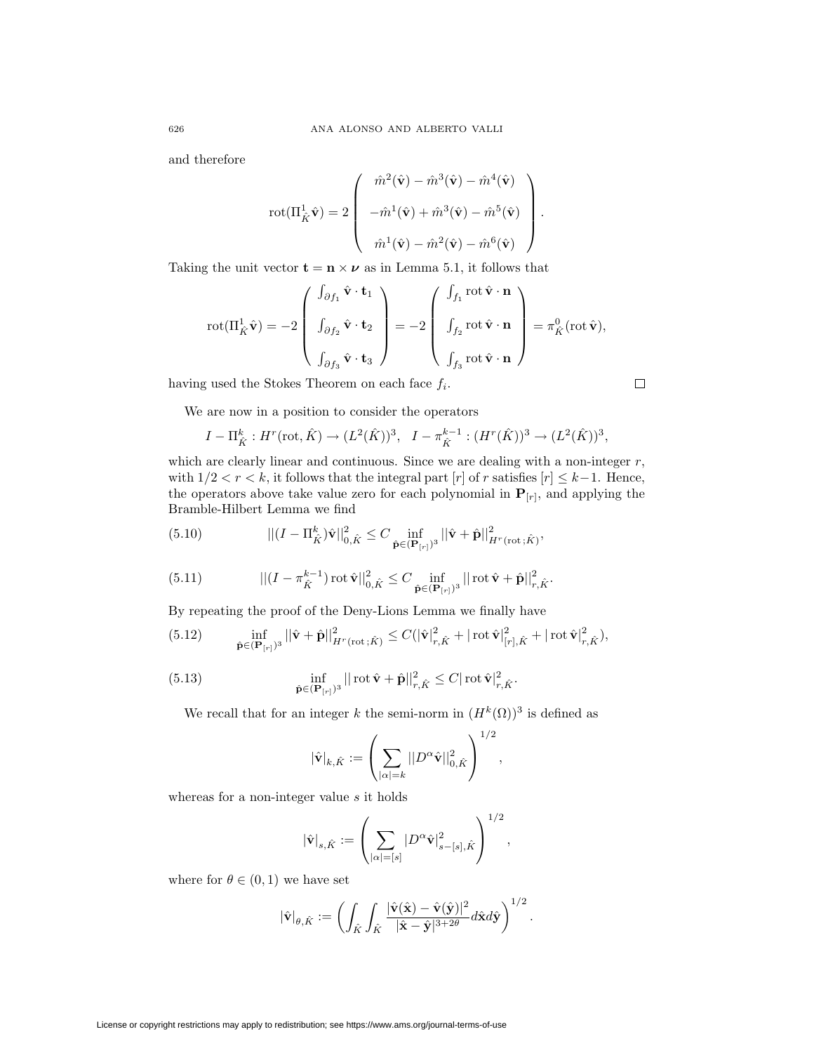and therefore

$$
\text{rot}(\Pi_{\hat{K}}^1 \hat{\mathbf{v}}) = 2 \left( \begin{array}{c} \hat{m}^2(\hat{\mathbf{v}}) - \hat{m}^3(\hat{\mathbf{v}}) - \hat{m}^4(\hat{\mathbf{v}}) \\ \\ -\hat{m}^1(\hat{\mathbf{v}}) + \hat{m}^3(\hat{\mathbf{v}}) - \hat{m}^5(\hat{\mathbf{v}}) \\ \\ \hat{m}^1(\hat{\mathbf{v}}) - \hat{m}^2(\hat{\mathbf{v}}) - \hat{m}^6(\hat{\mathbf{v}}) \end{array} \right).
$$

Taking the unit vector  $\mathbf{t} = \mathbf{n} \times \boldsymbol{\nu}$  as in Lemma 5.1, it follows that

$$
\text{rot}(\Pi_{\hat{K}}^1 \hat{\mathbf{v}}) = -2 \left( \begin{array}{c} \int_{\partial f_1} \hat{\mathbf{v}} \cdot \mathbf{t}_1 \\ \int_{\partial f_2} \hat{\mathbf{v}} \cdot \mathbf{t}_2 \\ \int_{\partial f_3} \hat{\mathbf{v}} \cdot \mathbf{t}_3 \end{array} \right) = -2 \left( \begin{array}{c} \int_{f_1} \text{rot } \hat{\mathbf{v}} \cdot \mathbf{n} \\ \int_{f_2} \text{rot } \hat{\mathbf{v}} \cdot \mathbf{n} \\ \int_{f_3} \text{rot } \hat{\mathbf{v}} \cdot \mathbf{n} \end{array} \right) = \pi_{\hat{K}}^0(\text{rot } \hat{\mathbf{v}}),
$$

 $\Box$ 

having used the Stokes Theorem on each face *fi*.

We are now in a position to consider the operators

$$
I - \Pi_{\hat{K}}^k : H^r(\text{rot}, \hat{K}) \to (L^2(\hat{K}))^3, \quad I - \pi_{\hat{K}}^{k-1} : (H^r(\hat{K}))^3 \to (L^2(\hat{K}))^3,
$$

which are clearly linear and continuous. Since we are dealing with a non-integer *r*, with  $1/2 < r < k$ , it follows that the integral part [*r*] of *r* satisfies [*r*]  $\leq k-1$ . Hence, the operators above take value zero for each polynomial in  $\mathbf{P}_{[r]}$ , and applying the Bramble-Hilbert Lemma we find

(5.10) 
$$
||(I - \Pi_{\hat{K}}^{k})\hat{\mathbf{v}}||_{0,\hat{K}}^{2} \leq C \inf_{\hat{\mathbf{p}} \in (\mathbf{P}_{[r]})^{3}} ||\hat{\mathbf{v}} + \hat{\mathbf{p}}||_{H^{r}(\text{rot};\hat{K})}^{2},
$$

(5.11) 
$$
||(I - \pi_{\hat{K}}^{k-1}) \operatorname{rot} \hat{\mathbf{v}}||_{0,\hat{K}}^2 \leq C \inf_{\hat{\mathbf{p}} \in (\mathbf{P}_{[r]})^3} || \operatorname{rot} \hat{\mathbf{v}} + \hat{\mathbf{p}} ||_{r,\hat{K}}^2.
$$

By repeating the proof of the Deny-Lions Lemma we finally have

(5.12) 
$$
\inf_{\hat{\mathbf{p}} \in (\mathbf{P}_{[r]})^3} ||\hat{\mathbf{v}} + \hat{\mathbf{p}}||^2_{H^r(\text{rot};\hat{K})} \leq C(|\hat{\mathbf{v}}|^2_{r,\hat{K}} + |\text{rot}\,\hat{\mathbf{v}}|^2_{[r],\hat{K}} + |\text{rot}\,\hat{\mathbf{v}}|^2_{r,\hat{K}}),
$$

(5.13) 
$$
\inf_{\hat{\mathbf{p}} \in (\mathbf{P}_{[r]})^3} || \operatorname{rot} \hat{\mathbf{v}} + \hat{\mathbf{p}} ||_{r,\hat{K}}^2 \leq C | \operatorname{rot} \hat{\mathbf{v}} |_{r,\hat{K}}^2.
$$

We recall that for an integer *k* the semi-norm in  $(H^k(\Omega))^3$  is defined as

$$
|\hat{\mathbf{v}}|_{k,\hat{K}} := \left(\sum_{|\alpha|=k} ||D^{\alpha}\hat{\mathbf{v}}||_{0,\hat{K}}^2\right)^{1/2},
$$

whereas for a non-integer value *s* it holds

$$
\left\lvert\hat{\mathbf{v}}\right\rvert_{s,\hat{K}}:=\left(\sum_{\left\lvert\alpha\right\rvert=\left\lbrack s\right\rbrack} \left\lvert D^{\alpha}\hat{\mathbf{v}}\right\rvert_{s-\left\lbrack s\right\rbrack,\hat{K}}^2\right)^{1/2},
$$

where for  $\theta \in (0, 1)$  we have set

$$
|\hat{\mathbf{v}}|_{\theta,\hat{K}} := \left( \int_{\hat{K}} \int_{\hat{K}} \frac{|\hat{\mathbf{v}}(\hat{\mathbf{x}}) - \hat{\mathbf{v}}(\hat{\mathbf{y}})|^2}{|\hat{\mathbf{x}} - \hat{\mathbf{y}}|^{3+2\theta}} d\hat{\mathbf{x}} d\hat{\mathbf{y}} \right)^{1/2}.
$$

License or copyright restrictions may apply to redistribution; see https://www.ams.org/journal-terms-of-use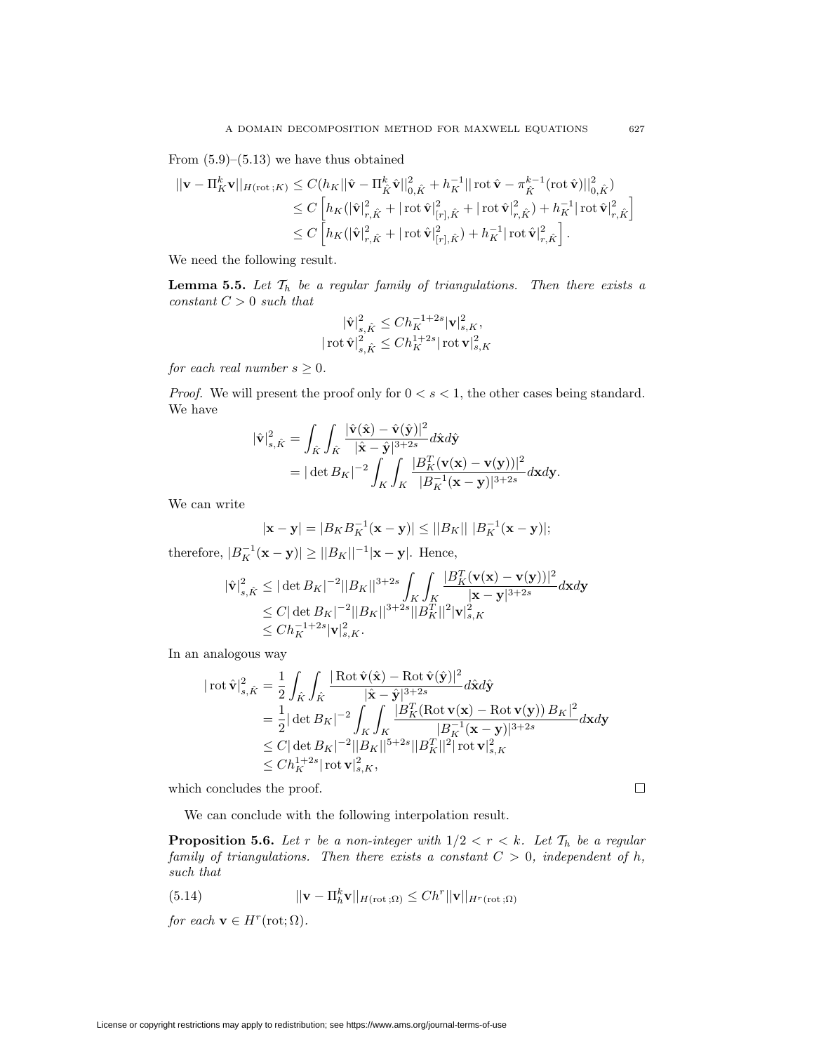From  $(5.9)$ – $(5.13)$  we have thus obtained

$$
\begin{split} ||\mathbf{v} - \Pi_K^k \mathbf{v}||_{H(\mathrm{rot}\,;K)} &\leq C (h_K ||\hat{\mathbf{v}} - \Pi_{\hat{K}}^k \hat{\mathbf{v}}||_{0,\hat{K}}^2 + h_K^{-1} ||\operatorname{rot} \hat{\mathbf{v}} - \pi_{\hat{K}}^{k-1} (\mathrm{rot}\, \hat{\mathbf{v}})||_{0,\hat{K}}^2) \\ &\leq C \left[ h_K (|\hat{\mathbf{v}}|_{r,\hat{K}}^2 + |\operatorname{rot} \hat{\mathbf{v}}|_{[r],\hat{K}}^2 + |\operatorname{rot} \hat{\mathbf{v}}|_{r,\hat{K}}^2) + h_K^{-1} |\operatorname{rot} \hat{\mathbf{v}}|_{r,\hat{K}}^2 \right] \\ &\leq C \left[ h_K (|\hat{\mathbf{v}}|_{r,\hat{K}}^2 + |\operatorname{rot} \hat{\mathbf{v}}|_{[r],\hat{K}}^2) + h_K^{-1} |\operatorname{rot} \hat{\mathbf{v}}|_{r,\hat{K}}^2 \right]. \end{split}
$$

We need the following result.

**Lemma 5.5.** Let  $\mathcal{T}_h$  be a regular family of triangulations. Then there exists a *constant C >* 0 *such that*

$$
\begin{aligned} |\hat{\mathbf{v}}|^2_{s,\hat{K}} &\leq Ch_K^{-1+2s}|\mathbf{v}|^2_{s,K},\\ |\operatorname{rot} \hat{\mathbf{v}}|^2_{s,\hat{K}} &\leq Ch_K^{1+2s}|\operatorname{rot} \mathbf{v}|^2_{s,K} \end{aligned}
$$

*for each real number*  $s \geq 0$ *.* 

*Proof.* We will present the proof only for  $0 < s < 1$ , the other cases being standard. We have

$$
\begin{aligned} |\hat{\mathbf{v}}|_{s,\hat{K}}^2 &= \int_{\hat{K}} \int_{\hat{K}} \frac{|\hat{\mathbf{v}}(\hat{\mathbf{x}}) - \hat{\mathbf{v}}(\hat{\mathbf{y}})|^2}{|\hat{\mathbf{x}} - \hat{\mathbf{y}}|^{3+2s}} d\hat{\mathbf{x}} d\hat{\mathbf{y}} \\ &= |\det B_K|^{-2} \int_K \int_K \frac{|B_K^T(\mathbf{v}(\mathbf{x}) - \mathbf{v}(\mathbf{y}))|^2}{|B_K^{-1}(\mathbf{x} - \mathbf{y})|^{3+2s}} d\mathbf{x} d\mathbf{y} .\end{aligned}
$$

We can write

$$
|\mathbf{x} - \mathbf{y}| = |B_K B_K^{-1} (\mathbf{x} - \mathbf{y})| \le ||B_K|| |B_K^{-1} (\mathbf{x} - \mathbf{y})|;
$$

therefore,  $|B_K^{-1}(\mathbf{x} - \mathbf{y})| \ge ||B_K||^{-1}|\mathbf{x} - \mathbf{y}|$ . Hence,

$$
\begin{aligned} |\hat{\mathbf{v}}|_{s,\hat{K}}^2 &\leq |\det B_K|^{-2} ||B_K||^{3+2s} \int_K \int_K \frac{|B_K^T(\mathbf{v}(\mathbf{x})-\mathbf{v}(\mathbf{y}))|^2}{|\mathbf{x}-\mathbf{y}|^{3+2s}} d\mathbf{x} d\mathbf{y} \\ &\leq C |\det B_K|^{-2} ||B_K||^{3+2s} ||B_K^T||^2 |\mathbf{v}|_{s,K}^2 \\ &\leq Ch_K^{-1+2s} |\mathbf{v}|_{s,K}^2. \end{aligned}
$$

In an analogous way

$$
\begin{aligned} |\cot \hat{\mathbf{v}}|_{s,\hat{K}}^2 &= \frac{1}{2} \int_{\hat{K}} \int_{\hat{K}} \frac{|\operatorname{Rot} \hat{\mathbf{v}}(\hat{\mathbf{x}}) - \operatorname{Rot} \hat{\mathbf{v}}(\hat{\mathbf{y}})|^2}{|\hat{\mathbf{x}} - \hat{\mathbf{y}}|^{3+2s}} d\hat{\mathbf{x}} d\hat{\mathbf{y}} \\ &= \frac{1}{2} |\det B_K|^{-2} \int_{K} \int_{K} \frac{|B_K^T(\operatorname{Rot} \mathbf{v}(\mathbf{x}) - \operatorname{Rot} \mathbf{v}(\mathbf{y}))|B_K|^2}{|B_K^{-1}(\mathbf{x} - \mathbf{y})|^{3+2s}} d\mathbf{x} d\mathbf{y} \\ &\leq C |\det B_K|^{-2} ||B_K||^{5+2s} ||B_K^T||^2 |\operatorname{rot} \mathbf{v}|_{s,K}^2 \\ &\leq Ch_K^{1+2s} |\operatorname{rot} \mathbf{v}|_{s,K}^2, \end{aligned}
$$

which concludes the proof.

 $\Box$ 

We can conclude with the following interpolation result.

**Proposition 5.6.** Let r be a non-integer with  $1/2 < r < k$ . Let  $\mathcal{T}_h$  be a regular *family of triangulations. Then there exists a constant*  $C > 0$ *, independent of h*, *such that*

(5.14) 
$$
||\mathbf{v} - \Pi_h^k \mathbf{v}||_{H(\text{rot};\Omega)} \leq Ch^r ||\mathbf{v}||_{H^r(\text{rot};\Omega)}
$$

*for each*  $\mathbf{v} \in H^r(\text{rot}; \Omega)$ *.*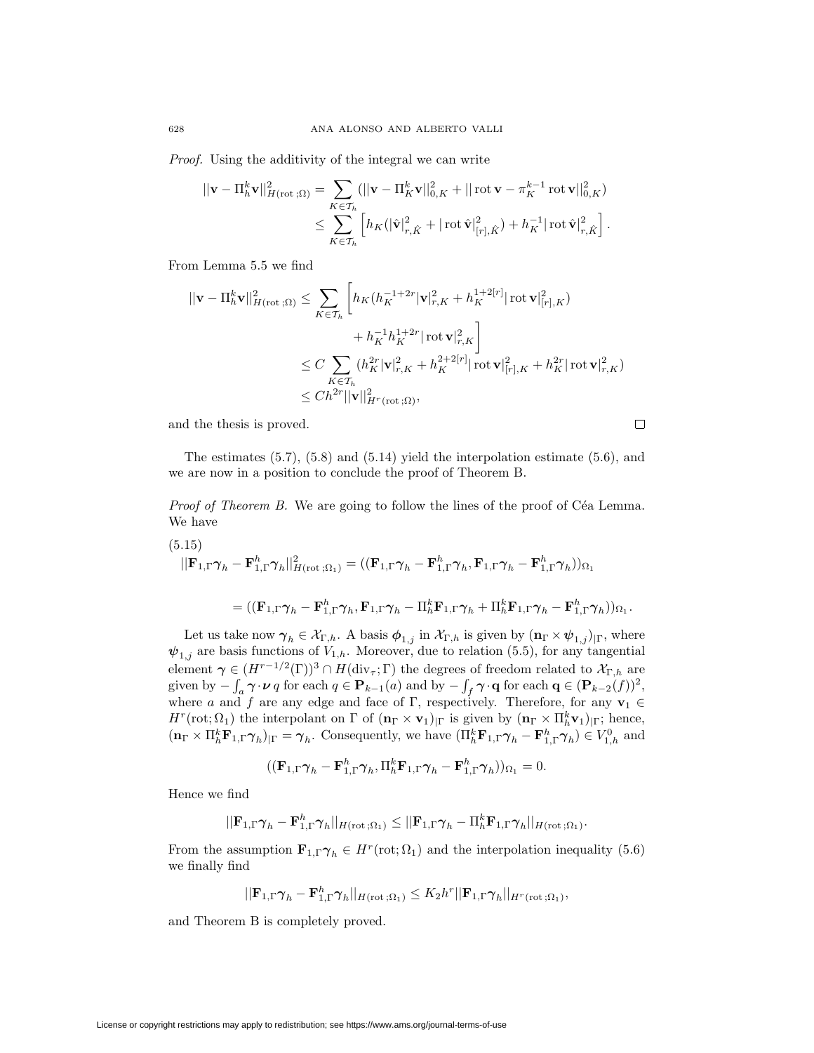*Proof.* Using the additivity of the integral we can write

$$
\begin{split} ||\mathbf{v} - \Pi_h^k \mathbf{v}||_{H(\text{rot}\,;\Omega)}^2 &= \sum_{K \in \mathcal{T}_h} (||\mathbf{v} - \Pi_K^k \mathbf{v}||_{0,K}^2 + ||\operatorname{rot}\mathbf{v} - \pi_K^{k-1} \operatorname{rot}\mathbf{v}||_{0,K}^2) \\ &\leq \sum_{K \in \mathcal{T}_h} \left[ h_K(|\hat{\mathbf{v}}|_{r,\hat{K}}^2 + |\operatorname{rot}\hat{\mathbf{v}}|_{[r],\hat{K}}^2) + h_K^{-1}|\operatorname{rot}\hat{\mathbf{v}}|_{r,\hat{K}}^2 \right]. \end{split}
$$

From Lemma 5.5 we find

$$
\begin{aligned} ||\mathbf{v} - \Pi_h^k \mathbf{v}||_{H(\text{rot};\Omega)}^2 &\leq \sum_{K \in \mathcal{T}_h} \left[ h_K (h_K^{-1+2r} |\mathbf{v}|_{r,K}^2 + h_K^{1+2[r]} |\operatorname{rot} \mathbf{v}|_{[r],K}^2) \right. \\ &\quad \left. + h_K^{-1} h_K^{1+2r} |\operatorname{rot} \mathbf{v}|_{r,K}^2 \right] \\ &\leq C \sum_{K \in \mathcal{T}_h} (h_K^{2r} |\mathbf{v}|_{r,K}^2 + h_K^{2+2[r]} |\operatorname{rot} \mathbf{v}|_{[r],K}^2 + h_K^{2r} |\operatorname{rot} \mathbf{v}|_{r,K}^2) \\ &\leq Ch^{2r} ||\mathbf{v}||_{H^r(\text{rot};\Omega)}^2, \end{aligned}
$$

and the thesis is proved.

 $\Box$ 

The estimates (5.7), (5.8) and (5.14) yield the interpolation estimate (5.6), and we are now in a position to conclude the proof of Theorem B.

*Proof of Theorem B.* We are going to follow the lines of the proof of Céa Lemma. We have

(5.15)  
\n
$$
||\mathbf{F}_{1,\Gamma}\boldsymbol{\gamma}_h - \mathbf{F}_{1,\Gamma}^h \boldsymbol{\gamma}_h||_{H(\text{rot};\Omega_1)}^2 = ((\mathbf{F}_{1,\Gamma}\boldsymbol{\gamma}_h - \mathbf{F}_{1,\Gamma}^h \boldsymbol{\gamma}_h, \mathbf{F}_{1,\Gamma} \boldsymbol{\gamma}_h - \mathbf{F}_{1,\Gamma}^h \boldsymbol{\gamma}_h))_{\Omega_1}
$$
\n
$$
= ((\mathbf{F}_{1,\Gamma}\boldsymbol{\gamma}_h - \mathbf{F}_{1,\Gamma}^h \boldsymbol{\gamma}_h, \mathbf{F}_{1,\Gamma} \boldsymbol{\gamma}_h - \Pi_h^k \mathbf{F}_{1,\Gamma} \boldsymbol{\gamma}_h + \Pi_h^k \mathbf{F}_{1,\Gamma} \boldsymbol{\gamma}_h - \mathbf{F}_{1,\Gamma}^h \boldsymbol{\gamma}_h))_{\Omega_1}.
$$

Let us take now  $\gamma_h \in \mathcal{X}_{\Gamma,h}$ . A basis  $\phi_{1,j}$  in  $\mathcal{X}_{\Gamma,h}$  is given by  $(\mathbf{n}_{\Gamma} \times \psi_{1,j})_{|\Gamma}$ , where  $\psi_{1,j}$  are basis functions of  $V_{1,h}$ . Moreover, due to relation (5.5), for any tangential element  $\gamma \in (H^{r-1/2}(\Gamma))^3 \cap H(\text{div}_{\tau}; \Gamma)$  the degrees of freedom related to  $\mathcal{X}_{\Gamma,h}$  are given by  $-\int_a \gamma \cdot \nu q$  for each  $q \in \mathbf{P}_{k-1}(a)$  and by  $-\int_f \gamma \cdot \mathbf{q}$  for each  $\mathbf{q} \in (\mathbf{P}_{k-2}(f))^2$ , where *a* and *f* are any edge and face of Γ, respectively. Therefore, for any  $\mathbf{v}_1 \in$ *H<sup>r</sup>*(rot;  $\Omega_1$ ) the interpolant on  $\Gamma$  of  $(\mathbf{n}_{\Gamma} \times \mathbf{v}_1)_{|\Gamma}$  is given by  $(\mathbf{n}_{\Gamma} \times \Pi_h^k \mathbf{v}_1)_{|\Gamma}$ ; hence,  $(\mathbf{n}_{\Gamma} \times \Pi_h^k \mathbf{F}_{1,\Gamma} \boldsymbol{\gamma}_h)_{|\Gamma} = \boldsymbol{\gamma}_h$ . Consequently, we have  $(\Pi_h^k \mathbf{F}_{1,\Gamma} \boldsymbol{\gamma}_h - \mathbf{F}_{1,\Gamma}^h \boldsymbol{\gamma}_h) \in V_{1,h}^0$  and

$$
((\mathbf{F}_{1,\Gamma}\boldsymbol{\gamma}_h-\mathbf{F}_{1,\Gamma}^h\boldsymbol{\gamma}_h,\Pi_h^k\mathbf{F}_{1,\Gamma}\boldsymbol{\gamma}_h-\mathbf{F}_{1,\Gamma}^h\boldsymbol{\gamma}_h))_{\Omega_1}=0.
$$

Hence we find

$$
||\mathbf{F}_{1,\Gamma}\boldsymbol{\gamma}_h-\mathbf{F}_{1,\Gamma}^h\boldsymbol{\gamma}_h||_{H(\mathrm{rot};\Omega_1)}\leq ||\mathbf{F}_{1,\Gamma}\boldsymbol{\gamma}_h-\Pi_h^k\mathbf{F}_{1,\Gamma}\boldsymbol{\gamma}_h||_{H(\mathrm{rot};\Omega_1)}.
$$

From the assumption  $\mathbf{F}_{1,\Gamma}\gamma_h \in H^r(\text{rot}; \Omega_1)$  and the interpolation inequality (5.6) we finally find

$$
||\mathbf{F}_{1,\Gamma}\boldsymbol{\gamma}_h-\mathbf{F}_{1,\Gamma}^h\boldsymbol{\gamma}_h||_{H(\mathrm{rot}\,;\Omega_1)}\leq K_2h^r||\mathbf{F}_{1,\Gamma}\boldsymbol{\gamma}_h||_{H^r(\mathrm{rot}\,;\Omega_1)},
$$

and Theorem B is completely proved.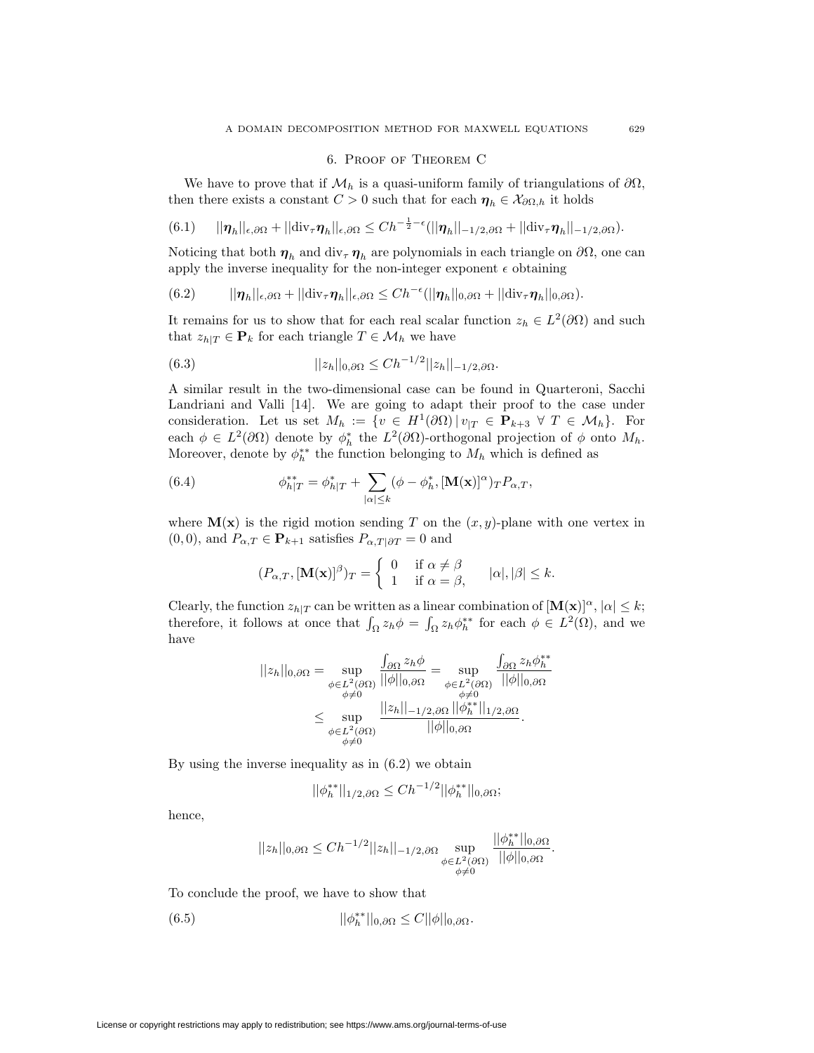## 6. Proof of Theorem C

We have to prove that if  $\mathcal{M}_h$  is a quasi-uniform family of triangulations of  $\partial\Omega$ , then there exists a constant  $C > 0$  such that for each  $\eta_h \in \mathcal{X}_{\partial\Omega,h}$  it holds

$$
(6.1) \qquad ||\boldsymbol{\eta}_h||_{\epsilon,\partial\Omega}+||\text{div}_{\tau}\boldsymbol{\eta}_h||_{\epsilon,\partial\Omega}\leq Ch^{-\frac{1}{2}-\epsilon}(||\boldsymbol{\eta}_h||_{-1/2,\partial\Omega}+||\text{div}_{\tau}\boldsymbol{\eta}_h||_{-1/2,\partial\Omega}).
$$

Noticing that both  $\eta_h$  and div<sub>*τ*</sub>  $\eta_h$  are polynomials in each triangle on  $\partial\Omega$ , one can apply the inverse inequality for the non-integer exponent  $\epsilon$  obtaining

(6.2) 
$$
||\eta_h||_{\epsilon,\partial\Omega}+||\text{div}_{\tau}\eta_h||_{\epsilon,\partial\Omega}\leq Ch^{-\epsilon}(||\eta_h||_{0,\partial\Omega}+||\text{div}_{\tau}\eta_h||_{0,\partial\Omega}).
$$

It remains for us to show that for each real scalar function  $z_h \in L^2(\partial\Omega)$  and such that  $z_{h|T} \in \mathbf{P}_k$  for each triangle  $T \in \mathcal{M}_h$  we have

(6.3) 
$$
||z_h||_{0,\partial\Omega} \leq Ch^{-1/2}||z_h||_{-1/2,\partial\Omega}.
$$

A similar result in the two-dimensional case can be found in Quarteroni, Sacchi Landriani and Valli [14]. We are going to adapt their proof to the case under consideration. Let us set  $M_h := \{ v \in H^1(\partial\Omega) | v_{|T} \in \mathbf{P}_{k+3} \forall T \in \mathcal{M}_h \}.$  For each  $\phi \in L^2(\partial\Omega)$  denote by  $\phi_h^*$  the  $L^2(\partial\Omega)$ -orthogonal projection of  $\phi$  onto  $M_h$ . Moreover, denote by  $\phi_h^{**}$  the function belonging to  $M_h$  which is defined as

(6.4) 
$$
\phi_{h|T}^{**} = \phi_{h|T}^{*} + \sum_{|\alpha| \leq k} (\phi - \phi_h^{*}, [\mathbf{M}(\mathbf{x})]^{\alpha})_T P_{\alpha,T},
$$

where  $\mathbf{M}(\mathbf{x})$  is the rigid motion sending T on the  $(x, y)$ -plane with one vertex in  $(0,0)$ , and  $P_{\alpha,T} \in \mathbf{P}_{k+1}$  satisfies  $P_{\alpha,T|\partial T} = 0$  and

$$
(P_{\alpha,T},[\mathbf{M}(\mathbf{x})]^{\beta})_T = \begin{cases} 0 & \text{if } \alpha \neq \beta \\ 1 & \text{if } \alpha = \beta, \end{cases} \quad |\alpha|, |\beta| \leq k.
$$

Clearly, the function  $z_{h|T}$  can be written as a linear combination of  $[\mathbf{M}(\mathbf{x})]^\alpha$ ,  $|\alpha| \leq k$ ; therefore, it follows at once that  $\int_{\Omega} z_h \phi = \int_{\Omega} z_h \phi_h^{**}$  for each  $\phi \in L^2(\Omega)$ , and we have

$$
||z_h||_{0,\partial\Omega} = \sup_{\substack{\phi \in L^2(\partial\Omega) \\ \phi \neq 0}} \frac{\int_{\partial\Omega} z_h \phi}{||\phi||_{0,\partial\Omega}} = \sup_{\substack{\phi \in L^2(\partial\Omega) \\ \phi \neq 0 \\ \phi \neq 0}} \frac{\int_{\partial\Omega} z_h \phi_h^{**}}{||\phi||_{0,\partial\Omega}} \leq \sup_{\substack{\phi \in L^2(\partial\Omega) \\ \phi \neq 0}} \frac{||z_h||_{-1/2,\partial\Omega} ||\phi_h^{**}||_{1/2,\partial\Omega}}{||\phi||_{0,\partial\Omega}}.
$$

By using the inverse inequality as in (6.2) we obtain

$$
||\phi_h^{**}||_{1/2,\partial\Omega} \le Ch^{-1/2} ||\phi_h^{**}||_{0,\partial\Omega};
$$

hence,

$$
||z_h||_{0,\partial\Omega} \le Ch^{-1/2}||z_h||_{-1/2,\partial\Omega} \sup_{\substack{\phi \in L^2(\partial\Omega) \\ \phi \neq 0}} \frac{||\phi_h^{**}||_{0,\partial\Omega}}{||\phi||_{0,\partial\Omega}}.
$$

To conclude the proof, we have to show that

(6.5) 
$$
||\phi_h^{**}||_{0,\partial\Omega} \leq C||\phi||_{0,\partial\Omega}.
$$

License or copyright restrictions may apply to redistribution; see https://www.ams.org/journal-terms-of-use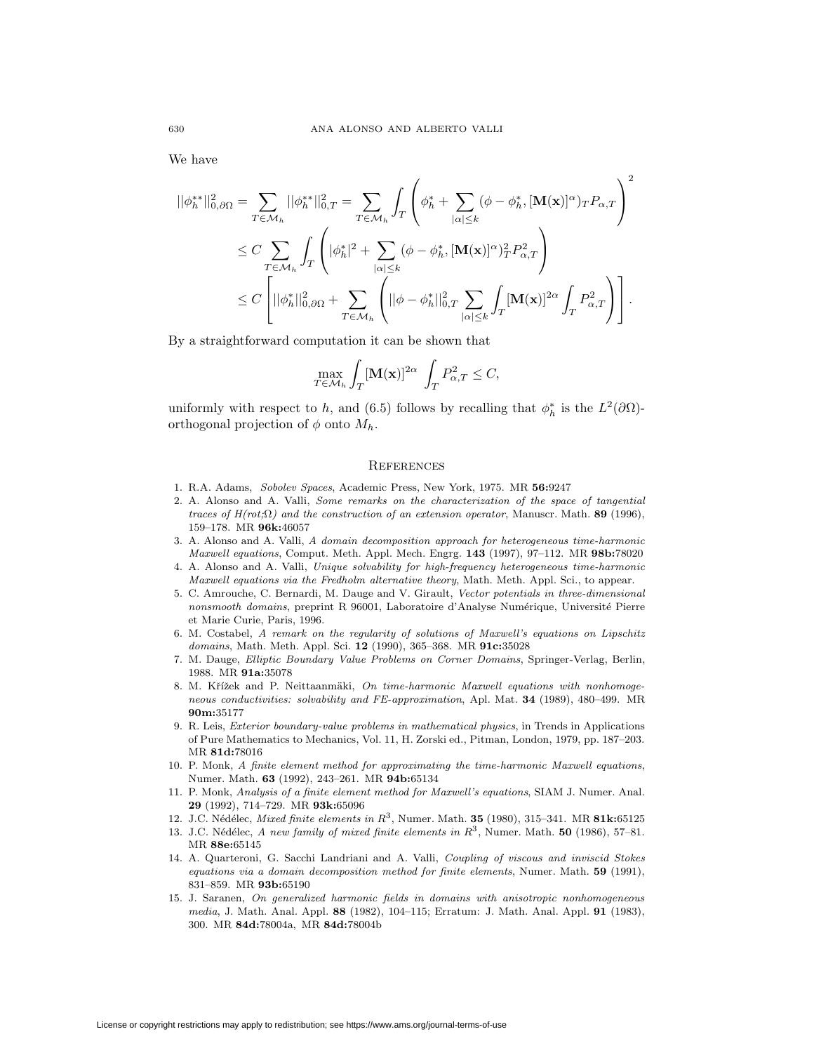We have

$$
\begin{split} ||\phi_h^{**}||_{0,\partial\Omega}^2 &= \sum_{T \in \mathcal{M}_h} ||\phi_h^{**}||_{0,T}^2 = \sum_{T \in \mathcal{M}_h} \int_T \left( \phi_h^* + \sum_{|\alpha| \le k} (\phi - \phi_h^*, [\mathbf{M}(\mathbf{x})]^\alpha) T P_{\alpha,T} \right)^2 \\ &\le C \sum_{T \in \mathcal{M}_h} \int_T \left( |\phi_h^*|^2 + \sum_{|\alpha| \le k} (\phi - \phi_h^*, [\mathbf{M}(\mathbf{x})]^\alpha)_T^2 P_{\alpha,T}^2 \right) \\ &\le C \left[ ||\phi_h^*||_{0,\partial\Omega}^2 + \sum_{T \in \mathcal{M}_h} \left( ||\phi - \phi_h^*||_{0,T}^2 \sum_{|\alpha| \le k} \int_T [\mathbf{M}(\mathbf{x})]^{2\alpha} \int_T P_{\alpha,T}^2 \right) \right]. \end{split}
$$

By a straightforward computation it can be shown that

$$
\max_{T \in \mathcal{M}_h} \int_T [\mathbf{M}(\mathbf{x})]^{2\alpha} \int_T P_{\alpha,T}^2 \leq C,
$$

uniformly with respect to *h*, and (6.5) follows by recalling that  $\phi_h^*$  is the  $L^2(\partial\Omega)$ orthogonal projection of  $\phi$  onto  $M_h$ .

### **REFERENCES**

- 1. R.A. Adams, *Sobolev Spaces*, Academic Press, New York, 1975. MR **56:**9247
- 2. A. Alonso and A. Valli, *Some remarks on the characterization of the space of tangential traces of H(rot;*Ω*) and the construction of an extension operator*, Manuscr. Math. **89** (1996), 159–178. MR **96k:**46057
- 3. A. Alonso and A. Valli, *A domain decomposition approach for heterogeneous time-harmonic Maxwell equations*, Comput. Meth. Appl. Mech. Engrg. **143** (1997), 97–112. MR **98b:**78020
- 4. A. Alonso and A. Valli, *Unique solvability for high-frequency heterogeneous time-harmonic Maxwell equations via the Fredholm alternative theory*, Math. Meth. Appl. Sci., to appear.
- 5. C. Amrouche, C. Bernardi, M. Dauge and V. Girault, *Vector potentials in three-dimensional nonsmooth domains*, preprint R 96001, Laboratoire d'Analyse Numérique, Université Pierre et Marie Curie, Paris, 1996.
- 6. M. Costabel, *A remark on the regularity of solutions of Maxwell's equations on Lipschitz domains*, Math. Meth. Appl. Sci. **12** (1990), 365–368. MR **91c:**35028
- 7. M. Dauge, *Elliptic Boundary Value Problems on Corner Domains*, Springer-Verlag, Berlin, 1988. MR **91a:**35078
- 8. M. Křížek and P. Neittaanmäki, On time-harmonic Maxwell equations with nonhomoge*neous conductivities: solvability and FE-approximation*, Apl. Mat. **34** (1989), 480–499. MR **90m:**35177
- 9. R. Leis, *Exterior boundary-value problems in mathematical physics*, in Trends in Applications of Pure Mathematics to Mechanics, Vol. 11, H. Zorski ed., Pitman, London, 1979, pp. 187–203. MR **81d:**78016
- 10. P. Monk, *A finite element method for approximating the time-harmonic Maxwell equations*, Numer. Math. **63** (1992), 243–261. MR **94b:**65134
- 11. P. Monk, *Analysis of a finite element method for Maxwell's equations*, SIAM J. Numer. Anal. **29** (1992), 714–729. MR **93k:**65096
- 12. J.C. N´ed´elec, *Mixed finite elements in R*3, Numer. Math. **35** (1980), 315–341. MR **81k:**65125
- 13. J.C. N´ed´elec, *A new family of mixed finite elements in R*3, Numer. Math. **50** (1986), 57–81. MR **88e:**65145
- 14. A. Quarteroni, G. Sacchi Landriani and A. Valli, *Coupling of viscous and inviscid Stokes equations via a domain decomposition method for finite elements*, Numer. Math. **59** (1991), 831–859. MR **93b:**65190
- 15. J. Saranen, *On generalized harmonic fields in domains with anisotropic nonhomogeneous media*, J. Math. Anal. Appl. **88** (1982), 104–115; Erratum: J. Math. Anal. Appl. **91** (1983), 300. MR **84d:**78004a, MR **84d:**78004b